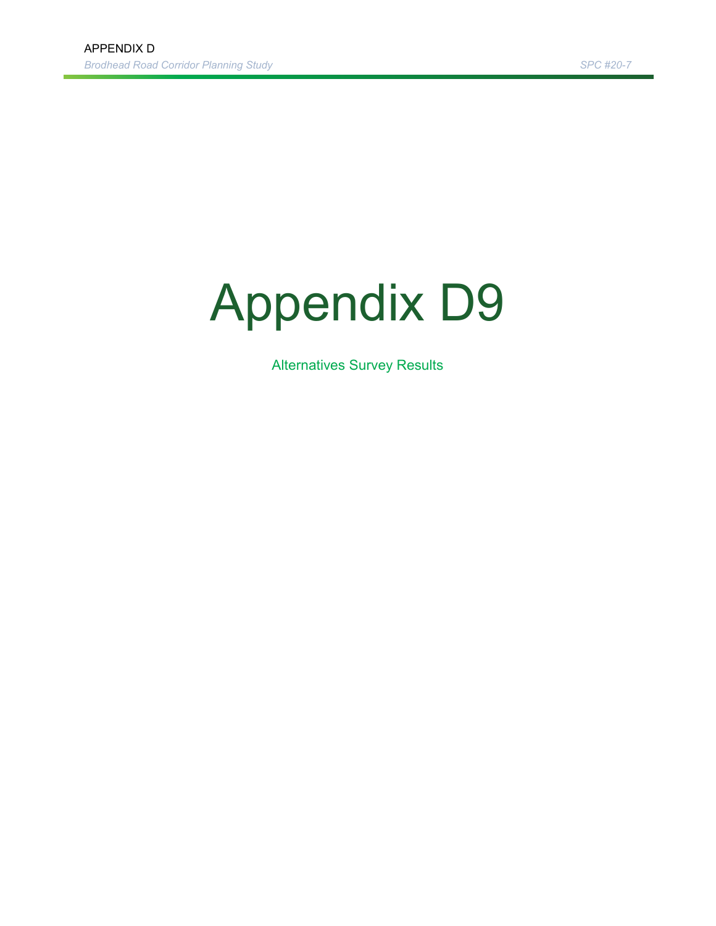# Appendix D9

Alternatives Survey Results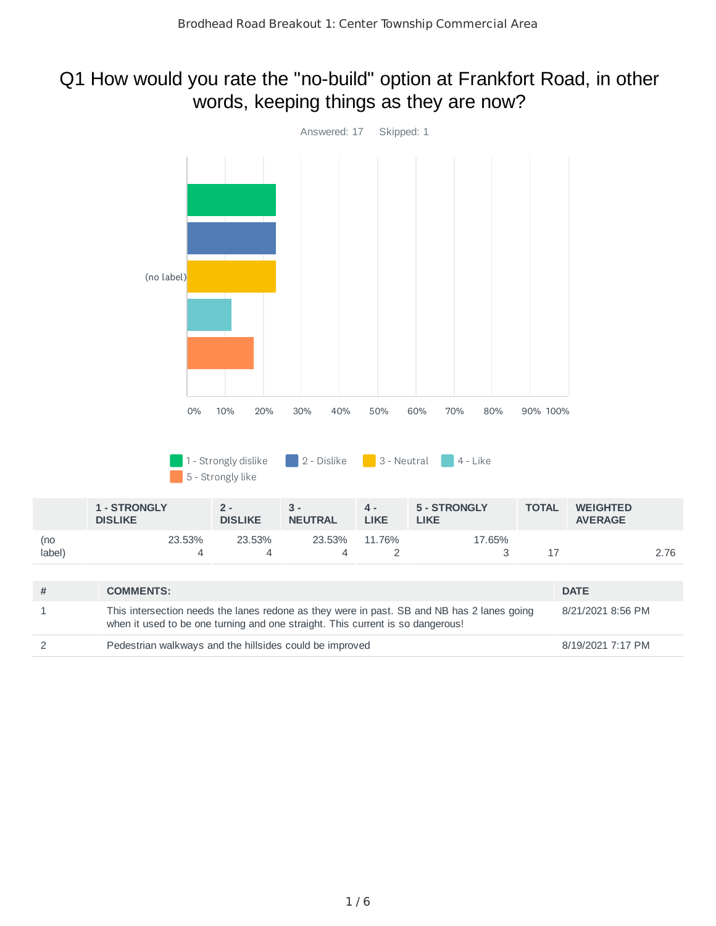#### Q1 How would you rate the "no-build" option at Frankfort Road, in other words, keeping things as they are now?

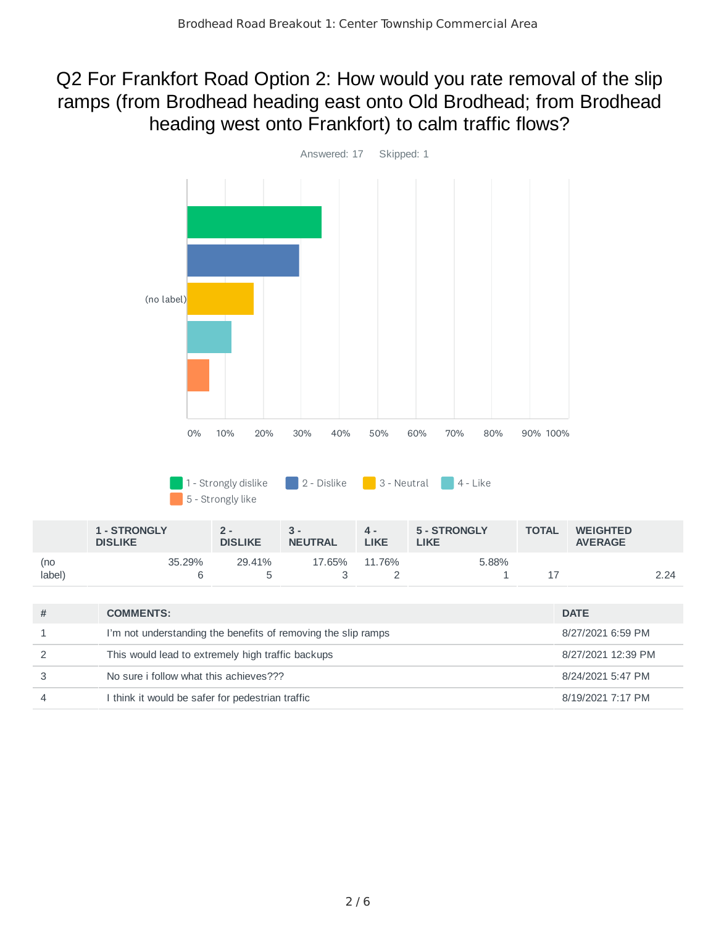#### Q2 For Frankfort Road Option 2: How would you rate removal of the slip ramps (from Brodhead heading east onto Old Brodhead; from Brodhead heading west onto Frankfort) to calm traffic flows?



|               | <b>1 - STRONGLY</b><br><b>DISLIKE</b> | 2 -<br><b>DISLIKE</b> | <b>NEUTRAL</b> | д.<br>LIKE | 5 - STRONGLY<br>LIKE | <b>TOTAL</b> | <b>WEIGHTED</b><br><b>AVERAGE</b> |      |
|---------------|---------------------------------------|-----------------------|----------------|------------|----------------------|--------------|-----------------------------------|------|
| (no<br>label) | 35.29%                                | 29.41%                | 17.65%         | 11.76%     | 5.88%                |              |                                   | 2.24 |

| <b>COMMENTS:</b>                                              | <b>DATE</b>        |
|---------------------------------------------------------------|--------------------|
| I'm not understanding the benefits of removing the slip ramps | 8/27/2021 6:59 PM  |
| This would lead to extremely high traffic backups             | 8/27/2021 12:39 PM |
| No sure i follow what this achieves???                        | 8/24/2021 5:47 PM  |
| I think it would be safer for pedestrian traffic              | 8/19/2021 7:17 PM  |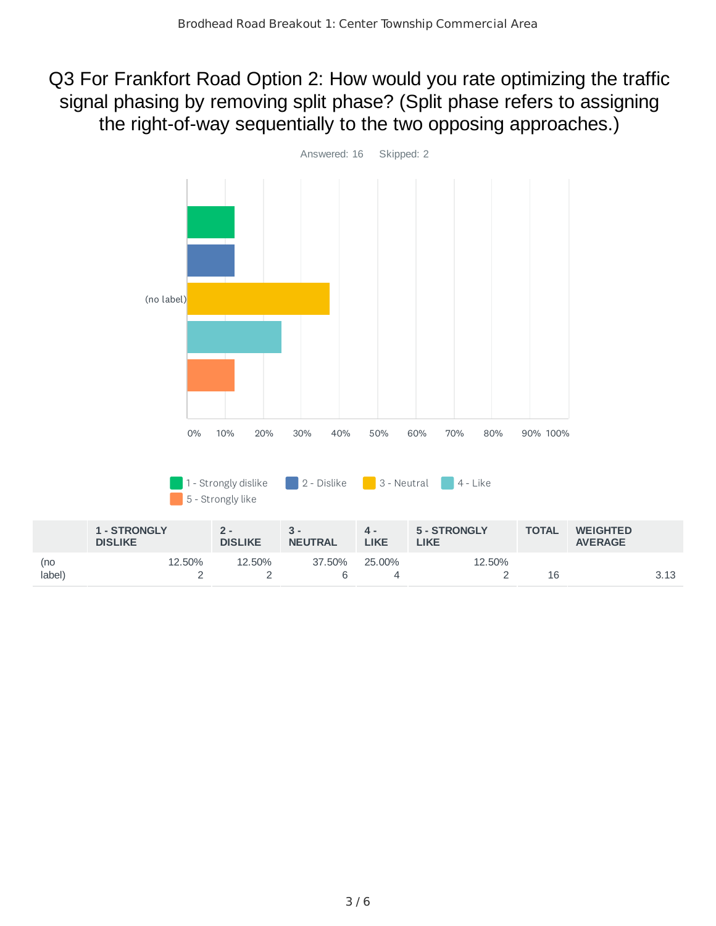#### Q3 For Frankfort Road Option 2: How would you rate optimizing the traffic signal phasing by removing split phase? (Split phase refers to assigning the right-of-way sequentially to the two opposing approaches.)

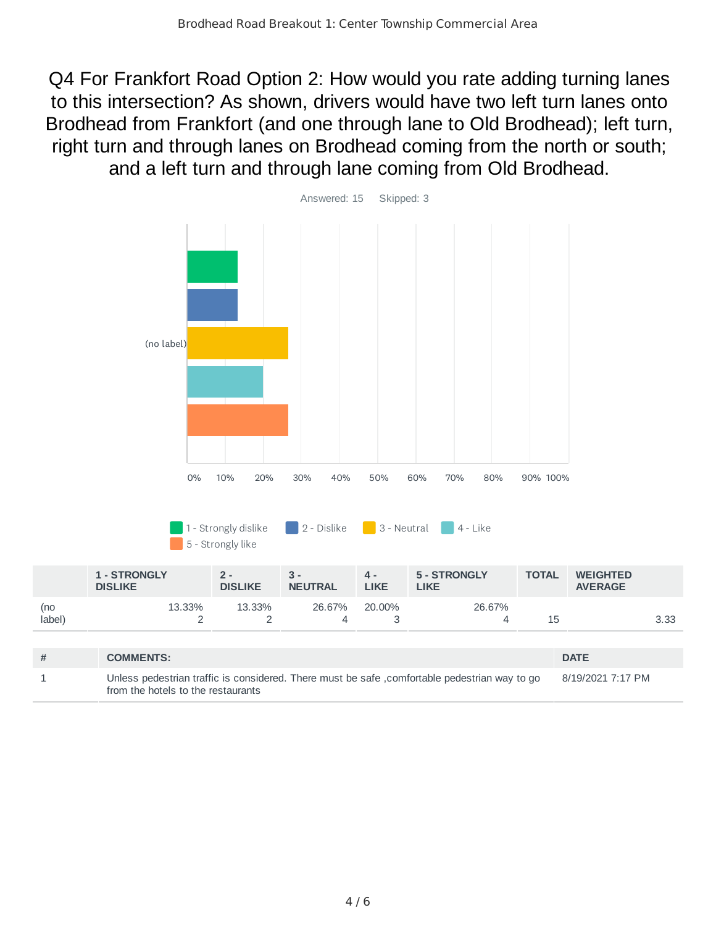Q4 For Frankfort Road Option 2: How would you rate adding turning lanes to this intersection? As shown, drivers would have two left turn lanes onto Brodhead from Frankfort (and one through lane to Old Brodhead); left turn, right turn and through lanes on Brodhead coming from the north or south; and a left turn and through lane coming from Old Brodhead.



|               | <b>1 - STRONGLY</b><br><b>DISLIKE</b> | $2 -$<br><b>DISLIKE</b> | $3 -$<br><b>NEUTRAL</b> | 4 -<br>LIKE | 5 - STRONGLY<br>LIKE | <b>TOTAL</b> | <b>WEIGHTED</b><br><b>AVERAGE</b> |      |
|---------------|---------------------------------------|-------------------------|-------------------------|-------------|----------------------|--------------|-----------------------------------|------|
| (no<br>label) | 13.33%                                | 13.33%                  | 26.67%                  | 20.00%      | 26.67%               | ïр           |                                   | 3.33 |

| <b>COMMENTS:</b>                                                                                                                    | <b>DATE</b>       |
|-------------------------------------------------------------------------------------------------------------------------------------|-------------------|
| Unless pedestrian traffic is considered. There must be safe, comfortable pedestrian way to go<br>from the hotels to the restaurants | 8/19/2021 7:17 PM |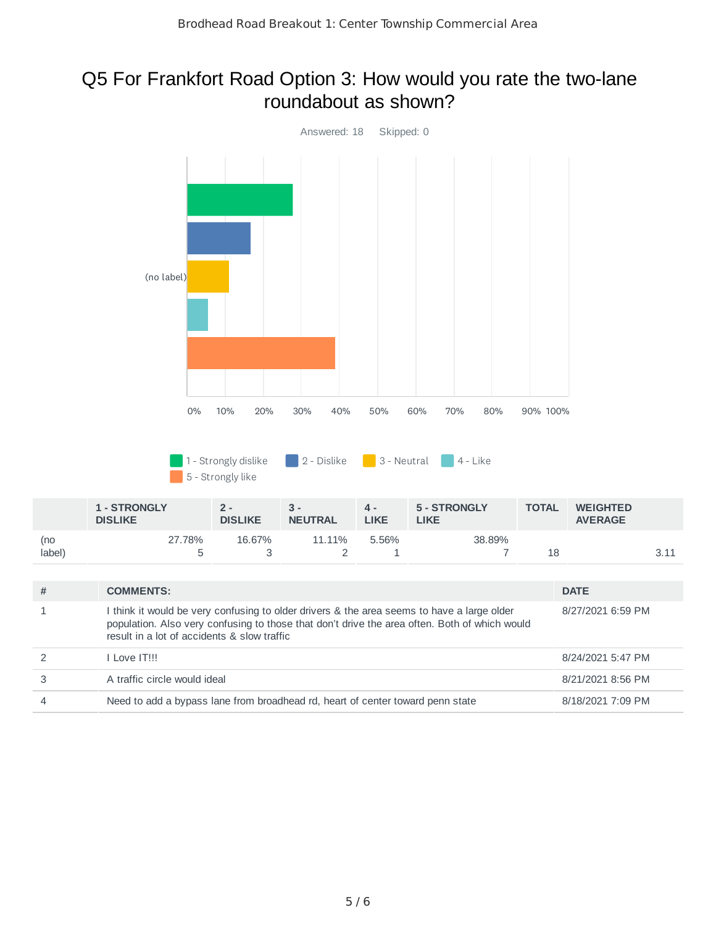#### Q5 For Frankfort Road Option 3: How would you rate the two-lane roundabout as shown?

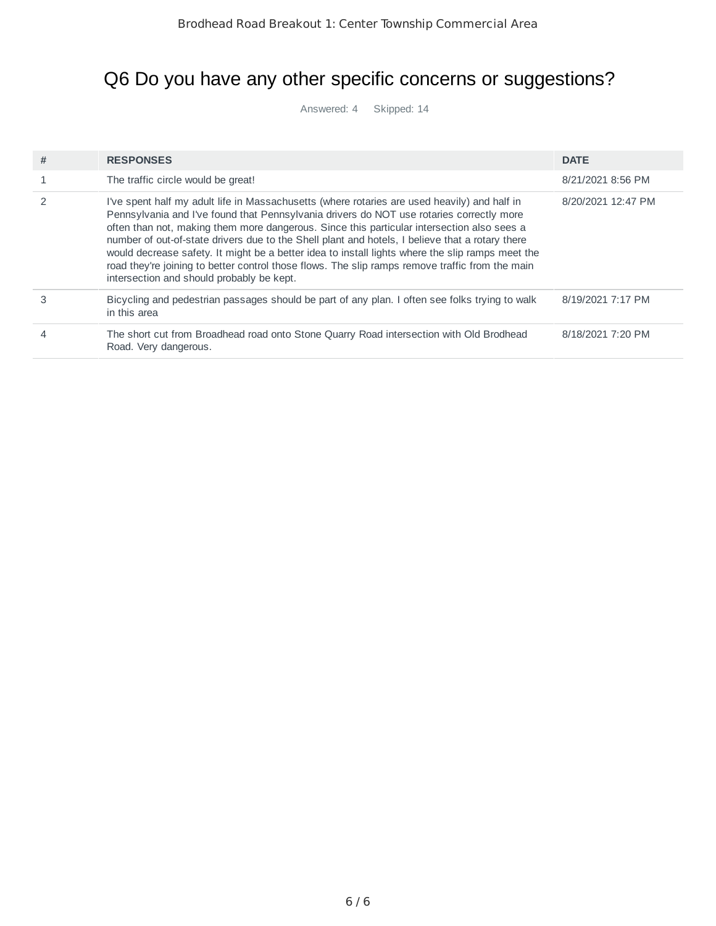# Q6 Do you have any other specific concerns or suggestions?

Answered: 4 Skipped: 14

| # | <b>RESPONSES</b>                                                                                                                                                                                                                                                                                                                                                                                                                                                                                                                                                                                                                              | <b>DATE</b>        |
|---|-----------------------------------------------------------------------------------------------------------------------------------------------------------------------------------------------------------------------------------------------------------------------------------------------------------------------------------------------------------------------------------------------------------------------------------------------------------------------------------------------------------------------------------------------------------------------------------------------------------------------------------------------|--------------------|
|   | The traffic circle would be great!                                                                                                                                                                                                                                                                                                                                                                                                                                                                                                                                                                                                            | 8/21/2021 8:56 PM  |
|   | I've spent half my adult life in Massachusetts (where rotaries are used heavily) and half in<br>Pennsylvania and I've found that Pennsylvania drivers do NOT use rotaries correctly more<br>often than not, making them more dangerous. Since this particular intersection also sees a<br>number of out-of-state drivers due to the Shell plant and hotels, I believe that a rotary there<br>would decrease safety. It might be a better idea to install lights where the slip ramps meet the<br>road they're joining to better control those flows. The slip ramps remove traffic from the main<br>intersection and should probably be kept. | 8/20/2021 12:47 PM |
| 3 | Bicycling and pedestrian passages should be part of any plan. I often see folks trying to walk<br>in this area                                                                                                                                                                                                                                                                                                                                                                                                                                                                                                                                | 8/19/2021 7:17 PM  |
|   | The short cut from Broadhead road onto Stone Ouarry Road intersection with Old Brodhead<br>Road. Very dangerous.                                                                                                                                                                                                                                                                                                                                                                                                                                                                                                                              | 8/18/2021 7:20 PM  |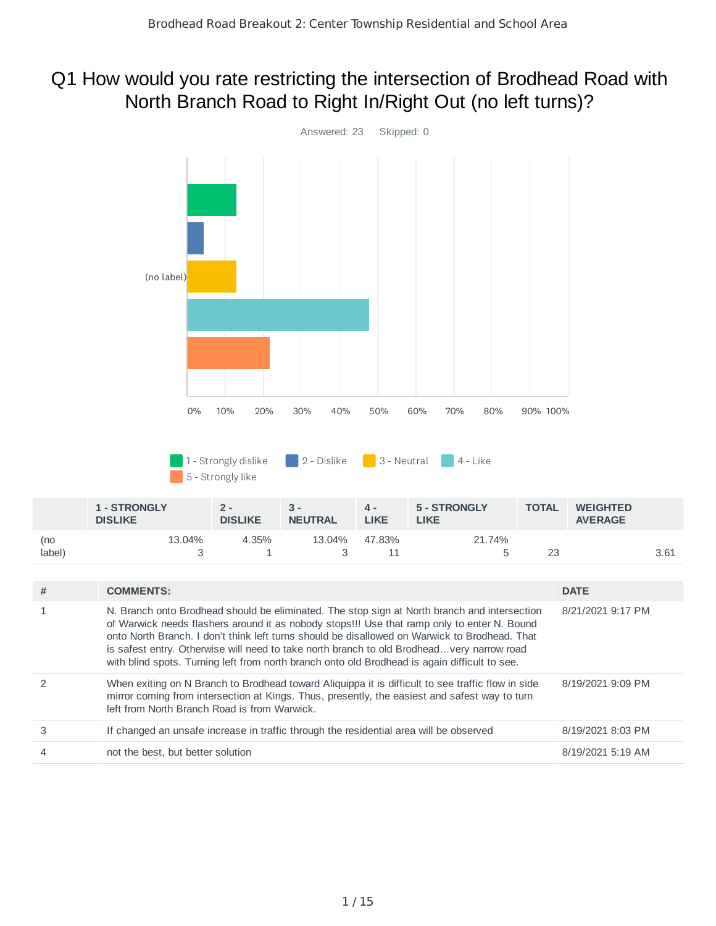#### Q1 How would you rate restricting the intersection of Brodhead Road with North Branch Road to Right In/Right Out (no left turns)?

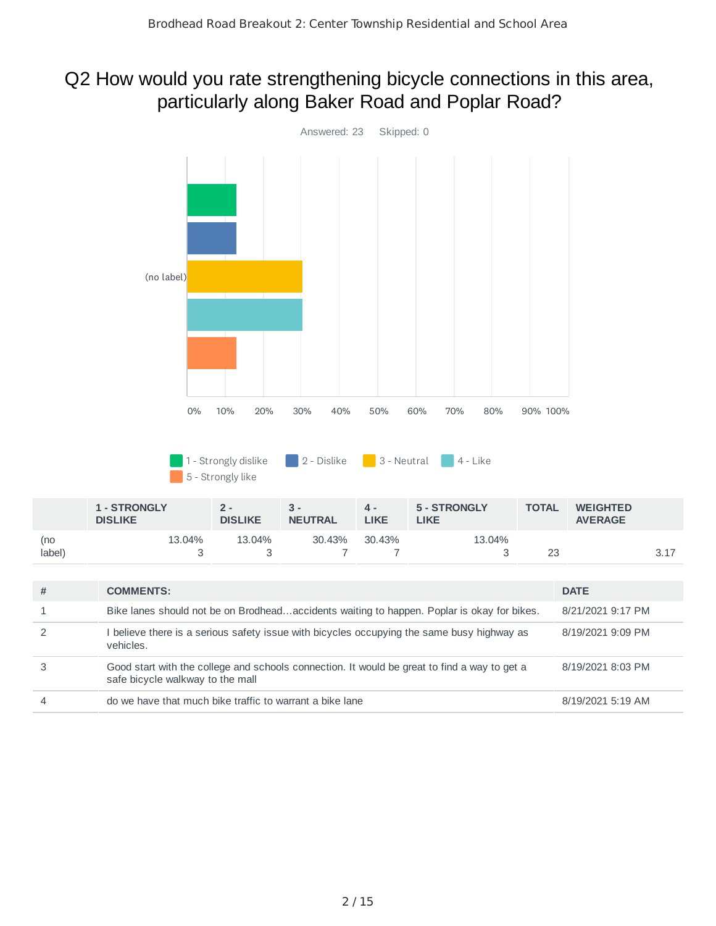#### Q2 How would you rate strengthening bicycle connections in this area, particularly along Baker Road and Poplar Road?

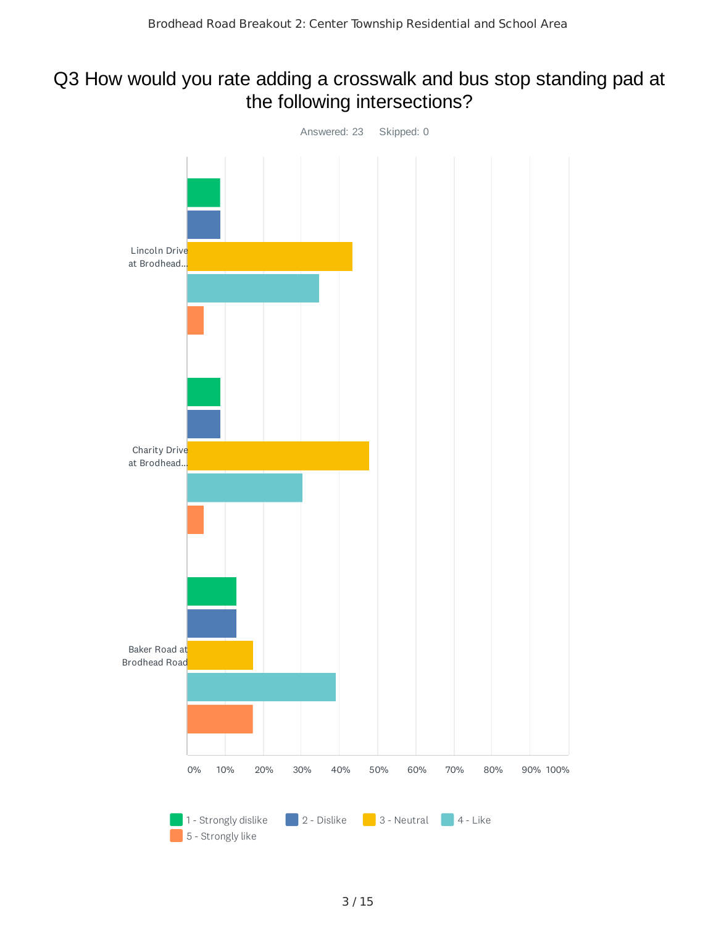#### Q3 How would you rate adding a crosswalk and bus stop standing pad at the following intersections?

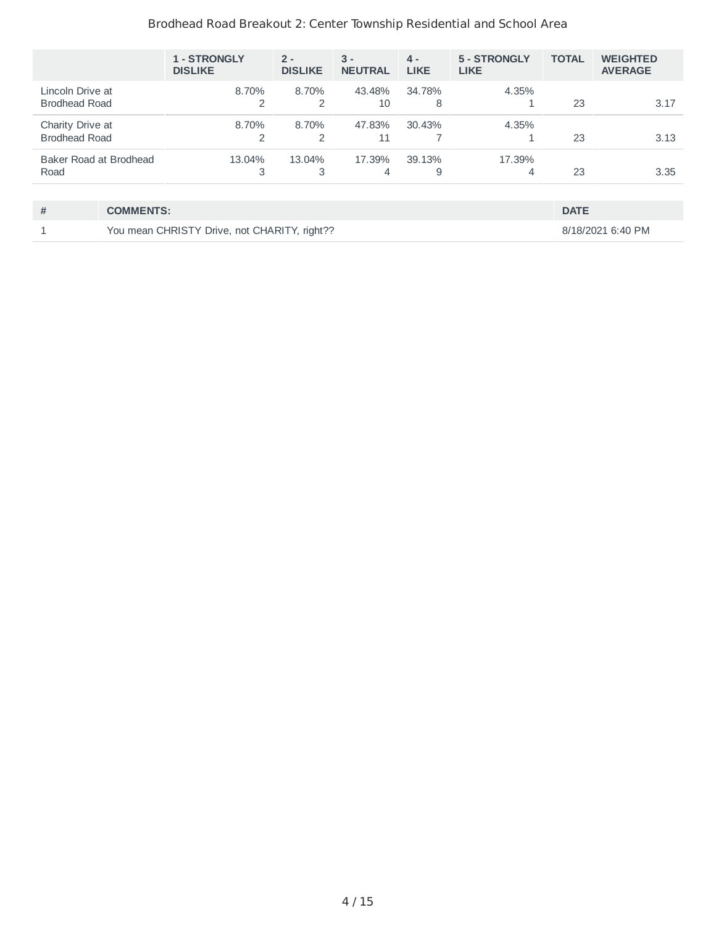#### Brodhead Road Breakout 2: Center Township Residential and School Area

|                                          |                                              | 1 - STRONGLY<br><b>DISLIKE</b> | $2 -$<br><b>DISLIKE</b> | $3 -$<br><b>NEUTRAL</b> | $4 -$<br><b>LIKE</b> | 5 - STRONGLY<br><b>LIKE</b> | <b>TOTAL</b> | <b>WEIGHTED</b><br><b>AVERAGE</b> |
|------------------------------------------|----------------------------------------------|--------------------------------|-------------------------|-------------------------|----------------------|-----------------------------|--------------|-----------------------------------|
| Lincoln Drive at<br><b>Brodhead Road</b> |                                              | 8.70%<br>2                     | 8.70%<br>$\overline{2}$ | 43.48%<br>10            | 34.78%<br>8          | 4.35%                       | 23           | 3.17                              |
| Charity Drive at<br><b>Brodhead Road</b> |                                              | 8.70%<br>2                     | 8.70%<br>2              | 47.83%<br>11            | 30.43%               | 4.35%                       | 23           | 3.13                              |
| Baker Road at Brodhead<br>Road           |                                              | 13.04%<br>3                    | 13.04%<br>3             | 17.39%<br>4             | 39.13%<br>9          | 17.39%<br>4                 | 23           | 3.35                              |
|                                          |                                              |                                |                         |                         |                      |                             |              |                                   |
| #                                        | <b>COMMENTS:</b>                             |                                |                         |                         |                      |                             | <b>DATE</b>  |                                   |
|                                          | You mean CHRISTY Drive, not CHARITY, right?? |                                |                         |                         |                      |                             |              | 8/18/2021 6:40 PM                 |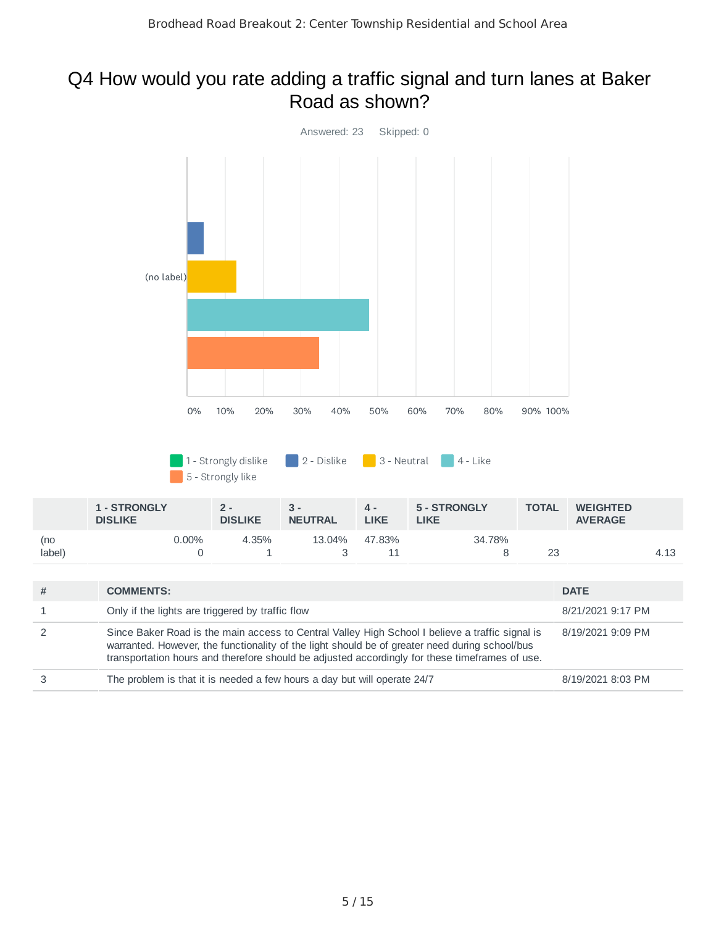#### Q4 How would you rate adding a traffic signal and turn lanes at Baker Road as shown?

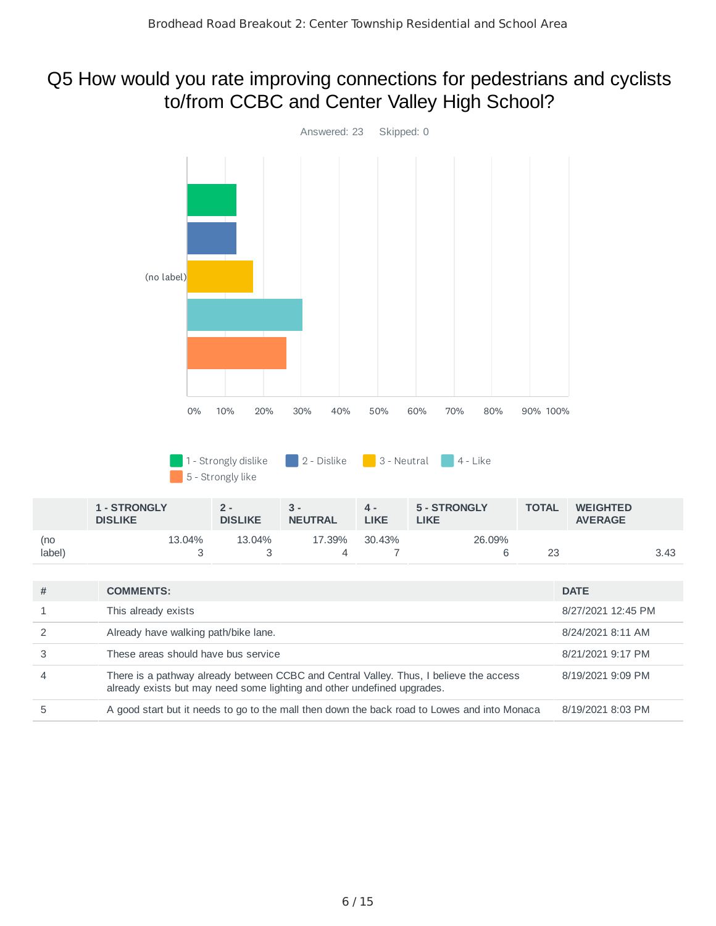#### Q5 How would you rate improving connections for pedestrians and cyclists to/from CCBC and Center Valley High School?

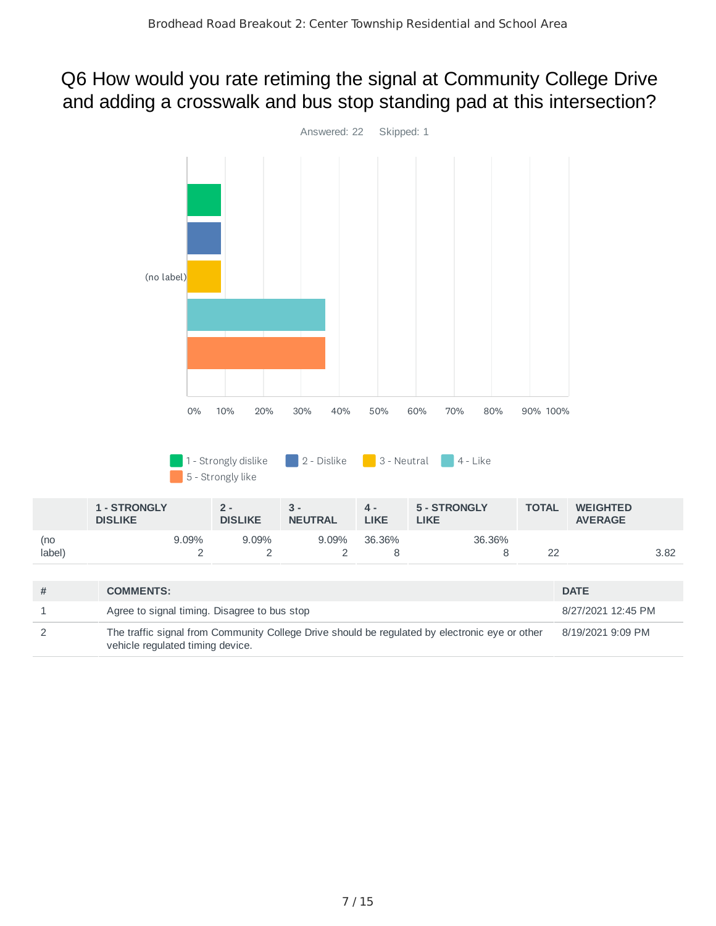#### Q6 How would you rate retiming the signal at Community College Drive and adding a crosswalk and bus stop standing pad at this intersection?

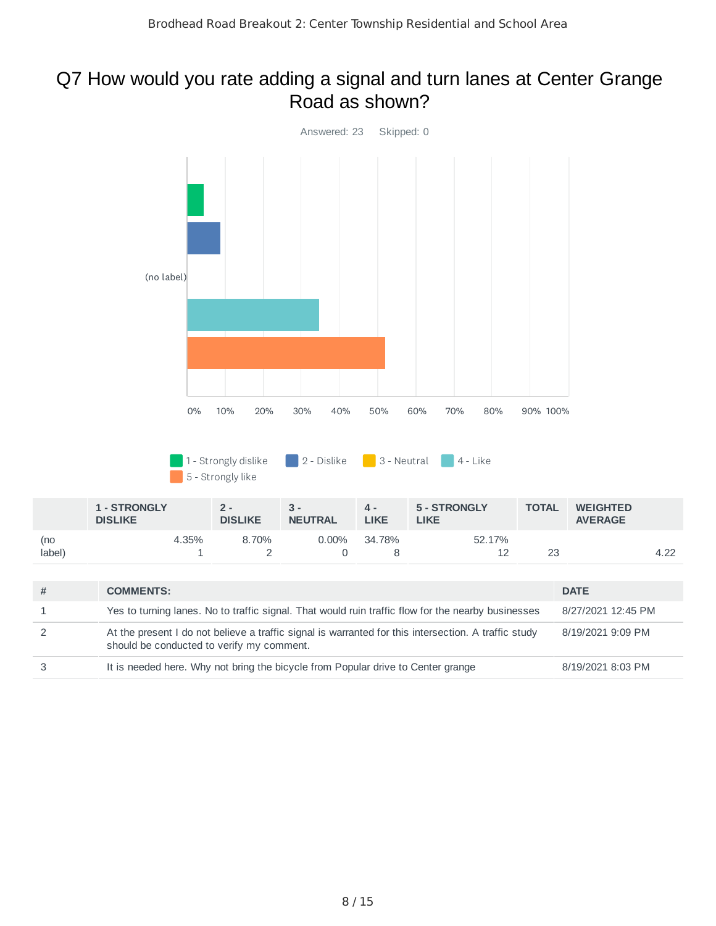#### Q7 How would you rate adding a signal and turn lanes at Center Grange Road as shown?

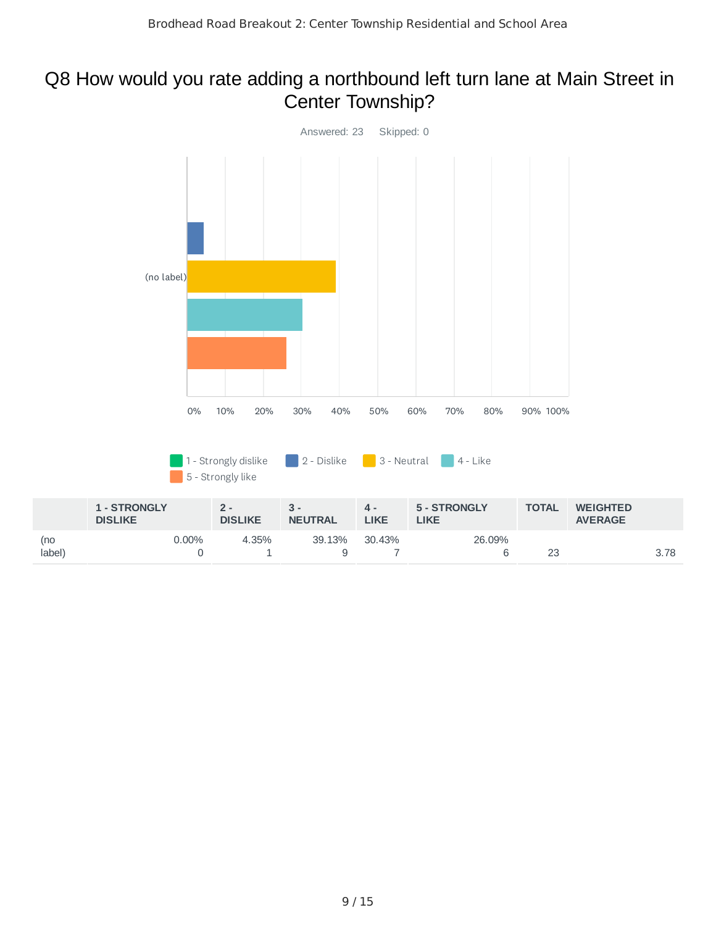#### Q8 How would you rate adding a northbound left turn lane at Main Street in Center Township?

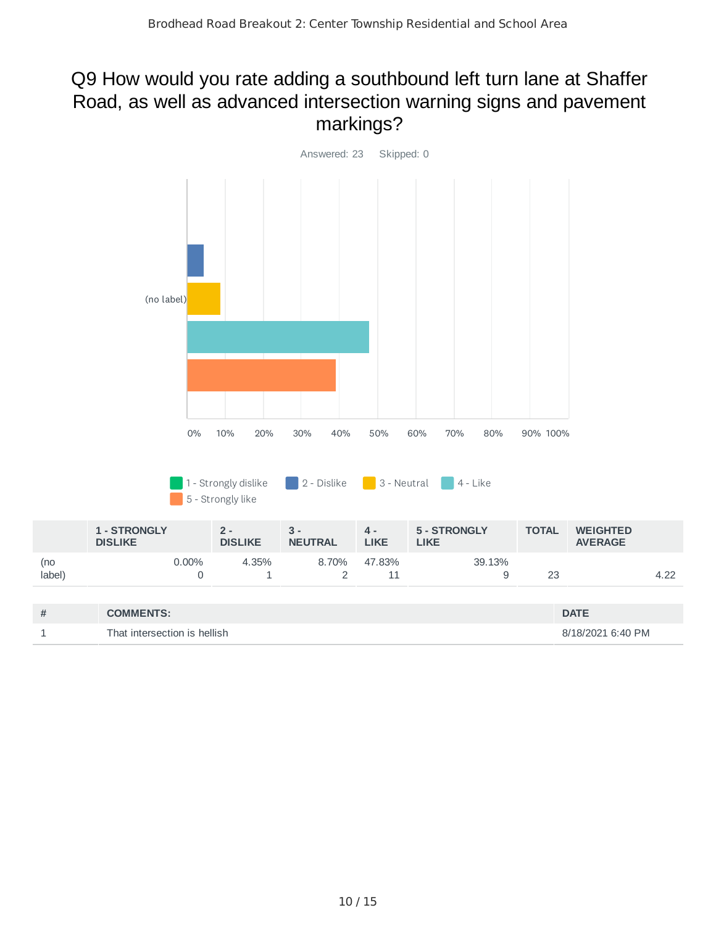#### Q9 How would you rate adding a southbound left turn lane at Shaffer Road, as well as advanced intersection warning signs and pavement markings?

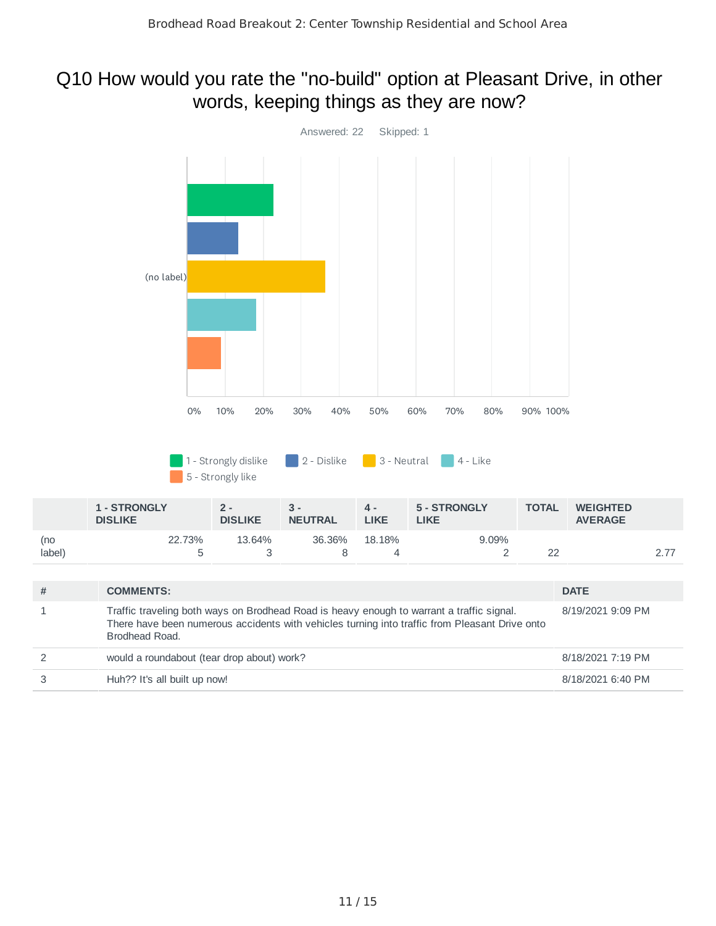#### Q10 How would you rate the "no-build" option at Pleasant Drive, in other words, keeping things as they are now?

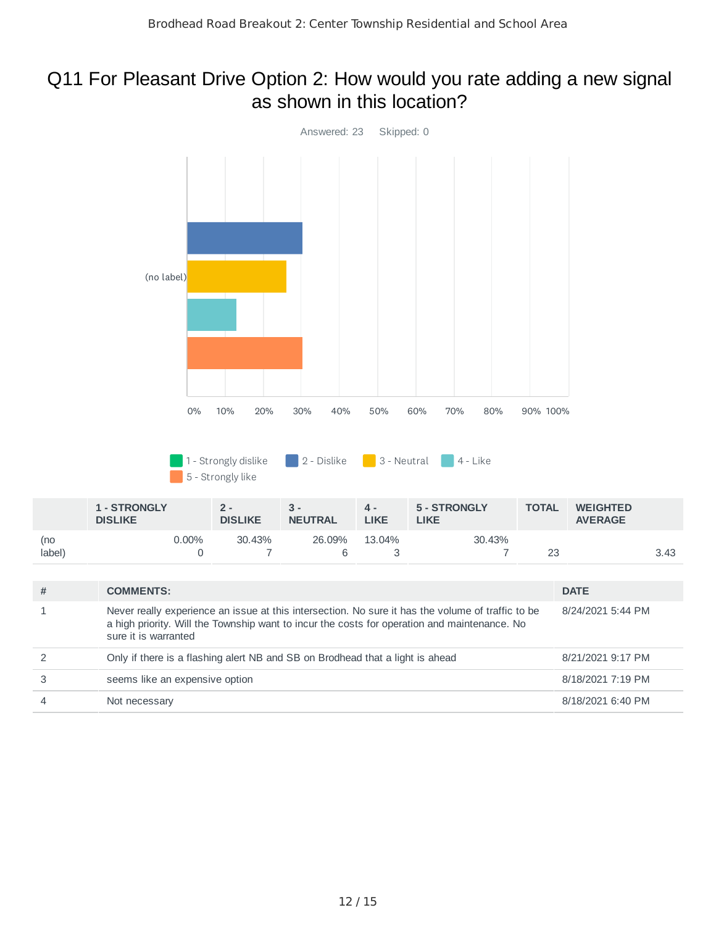#### Q11 For Pleasant Drive Option 2: How would you rate adding a new signal as shown in this location?

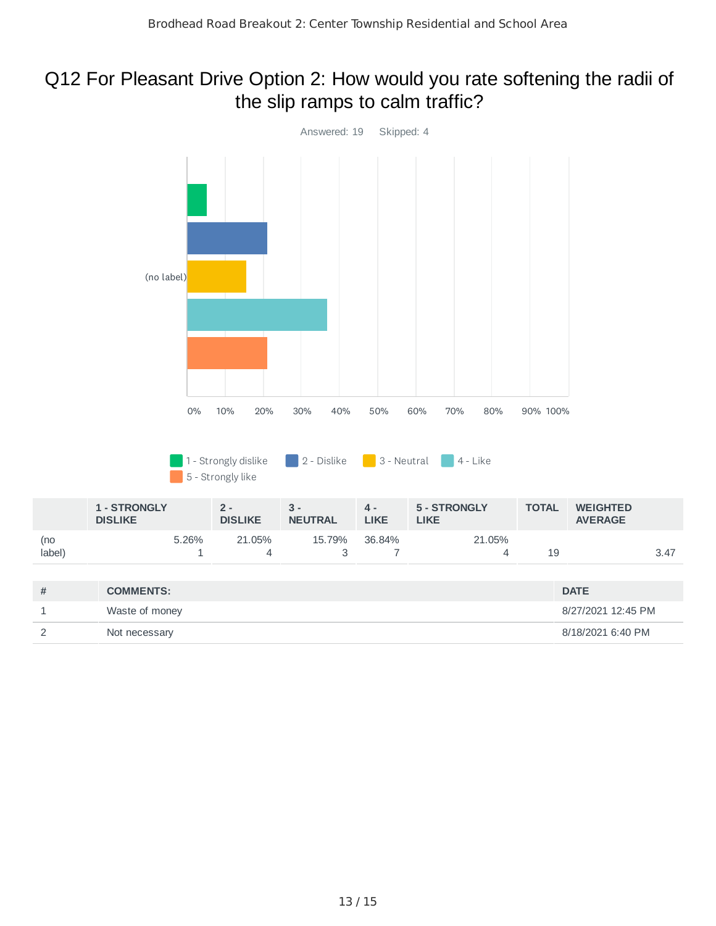#### Q12 For Pleasant Drive Option 2: How would you rate softening the radii of the slip ramps to calm traffic?

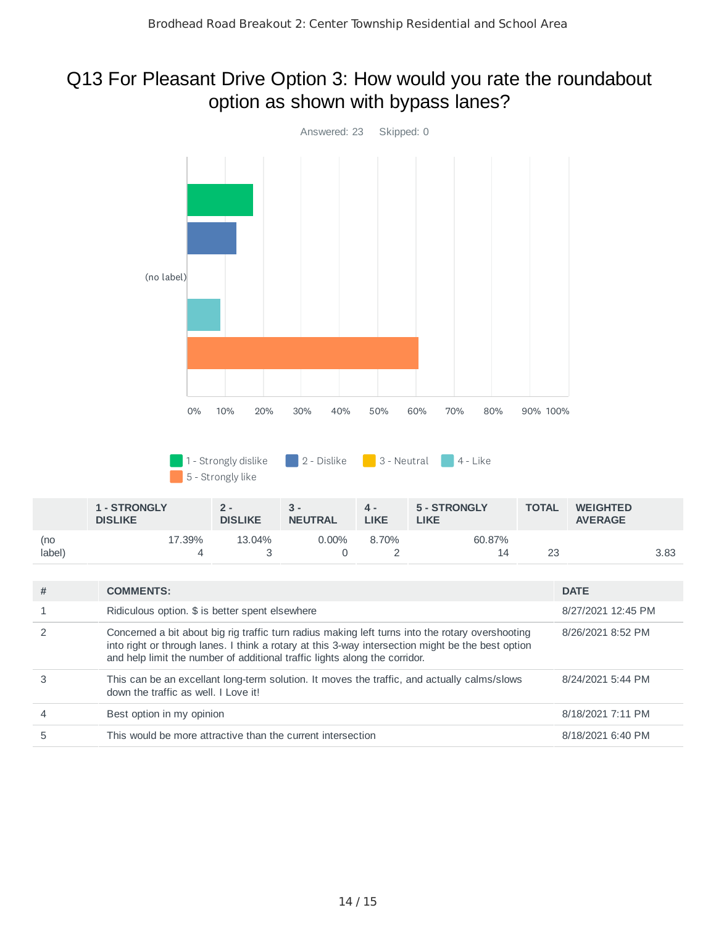#### Q13 For Pleasant Drive Option 3: How would you rate the roundabout option as shown with bypass lanes?



|                | and help limit the number of additional traffic lights along the corridor.                                                          |                   |
|----------------|-------------------------------------------------------------------------------------------------------------------------------------|-------------------|
| 3              | This can be an excellant long-term solution. It moves the traffic, and actually calms/slows<br>down the traffic as well. I Love it! | 8/24/2021 5:44 PM |
| $\overline{4}$ | Best option in my opinion                                                                                                           | 8/18/2021 7:11 PM |
| 5              | This would be more attractive than the current intersection                                                                         | 8/18/2021 6:40 PM |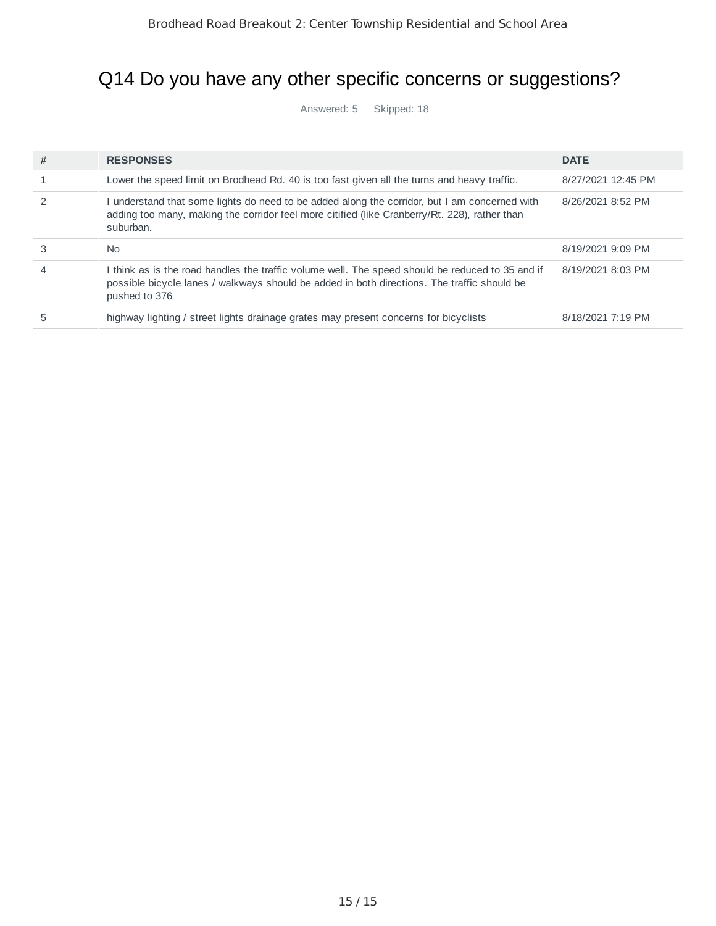## Q14 Do you have any other specific concerns or suggestions?

Answered: 5 Skipped: 18

| # | <b>RESPONSES</b>                                                                                                                                                                                                 | <b>DATE</b>        |
|---|------------------------------------------------------------------------------------------------------------------------------------------------------------------------------------------------------------------|--------------------|
|   | Lower the speed limit on Brodhead Rd. 40 is too fast given all the turns and heavy traffic.                                                                                                                      | 8/27/2021 12:45 PM |
|   | I understand that some lights do need to be added along the corridor, but I am concerned with<br>adding too many, making the corridor feel more citified (like Cranberry/Rt. 228), rather than<br>suburban.      | 8/26/2021 8:52 PM  |
| 3 | N <sub>0</sub>                                                                                                                                                                                                   | 8/19/2021 9:09 PM  |
| 4 | I think as is the road handles the traffic volume well. The speed should be reduced to 35 and if<br>possible bicycle lanes / walkways should be added in both directions. The traffic should be<br>pushed to 376 | 8/19/2021 8:03 PM  |
| 5 | highway lighting / street lights drainage grates may present concerns for bicyclists                                                                                                                             | 8/18/2021 7:19 PM  |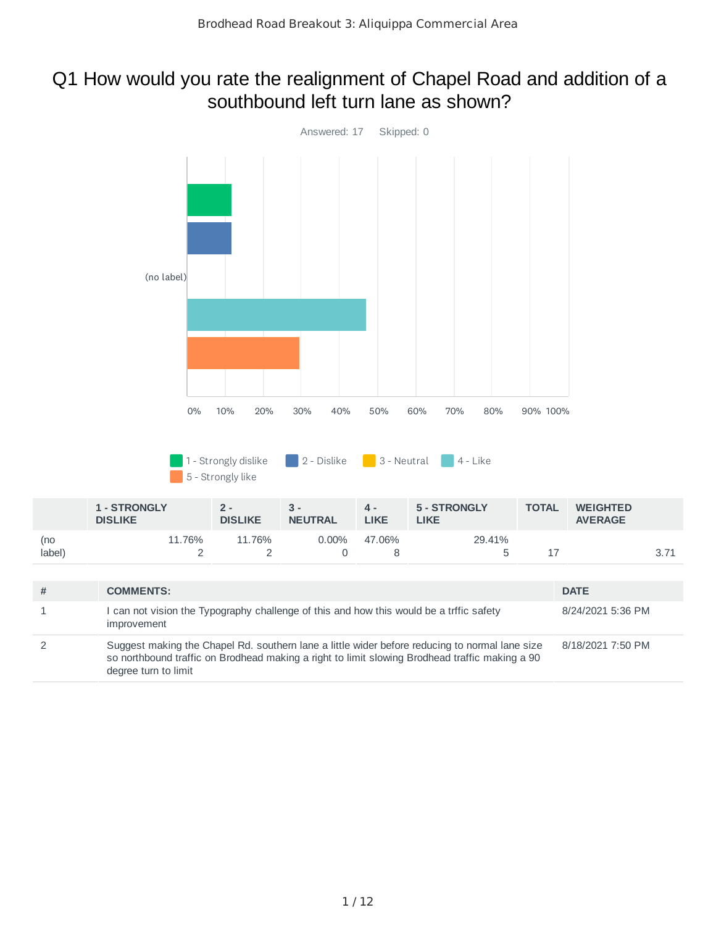#### Q1 How would you rate the realignment of Chapel Road and addition of a southbound left turn lane as shown?

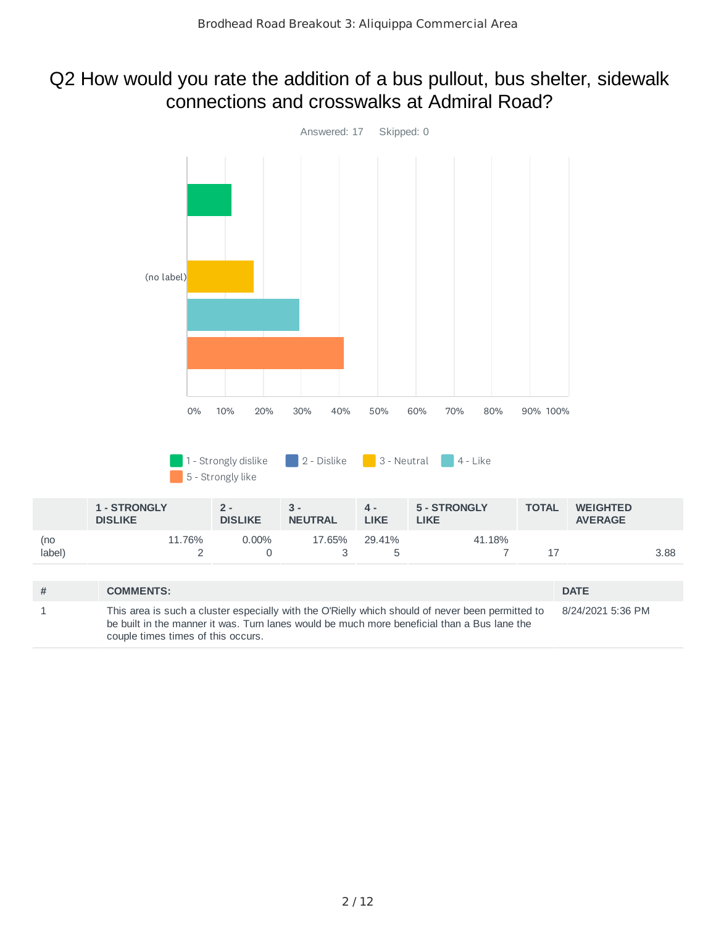#### Q2 How would you rate the addition of a bus pullout, bus shelter, sidewalk connections and crosswalks at Admiral Road?

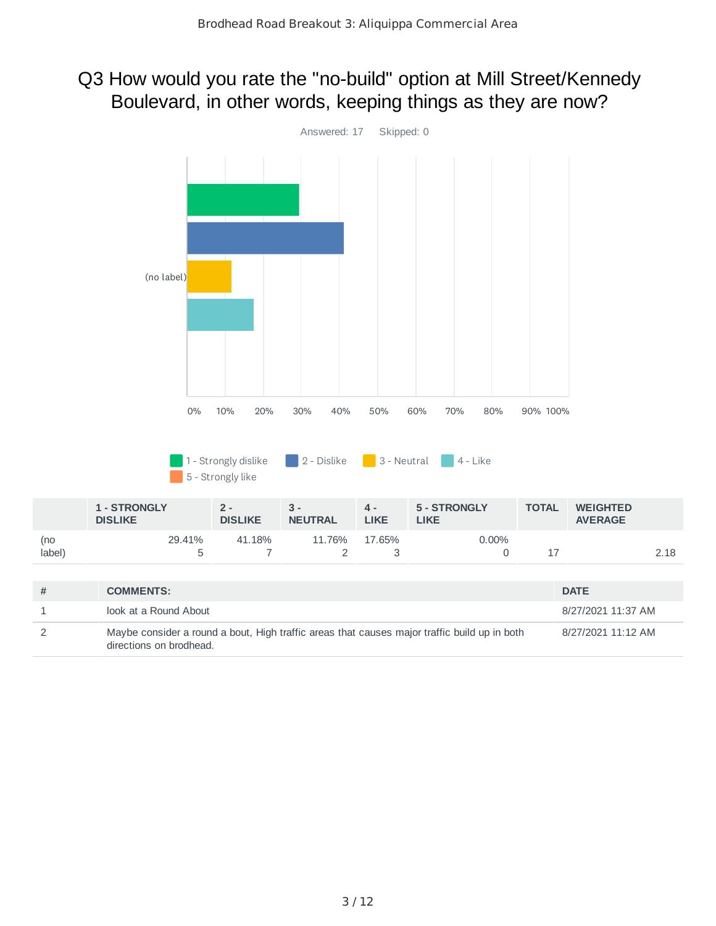#### Q3 How would you rate the "no-build" option at Mill Street/Kennedy Boulevard, in other words, keeping things as they are now?

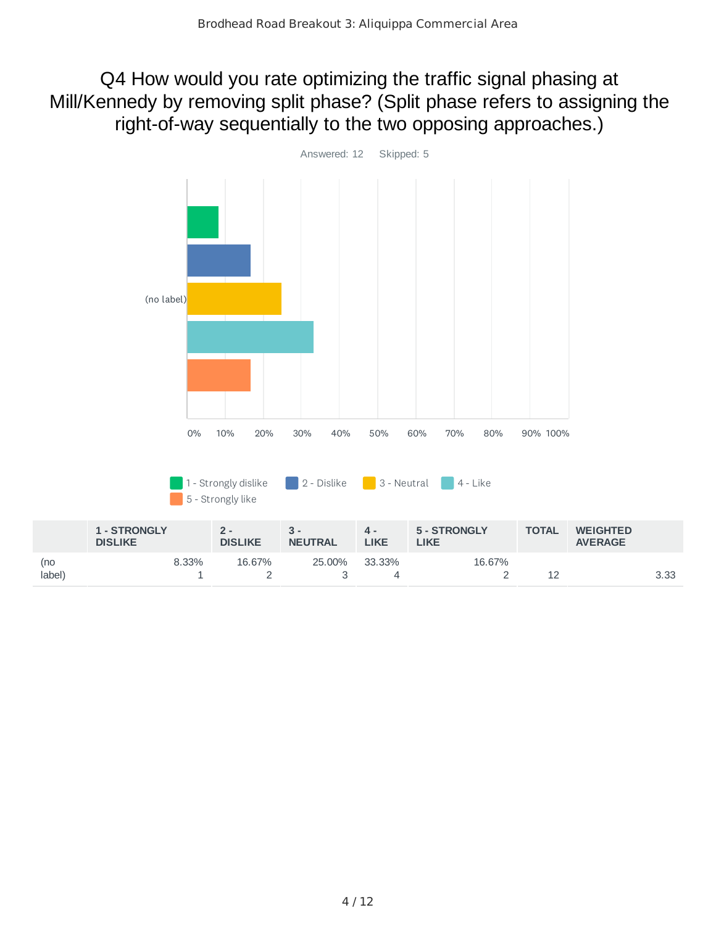Q4 How would you rate optimizing the traffic signal phasing at Mill/Kennedy by removing split phase? (Split phase refers to assigning the right-of-way sequentially to the two opposing approaches.)

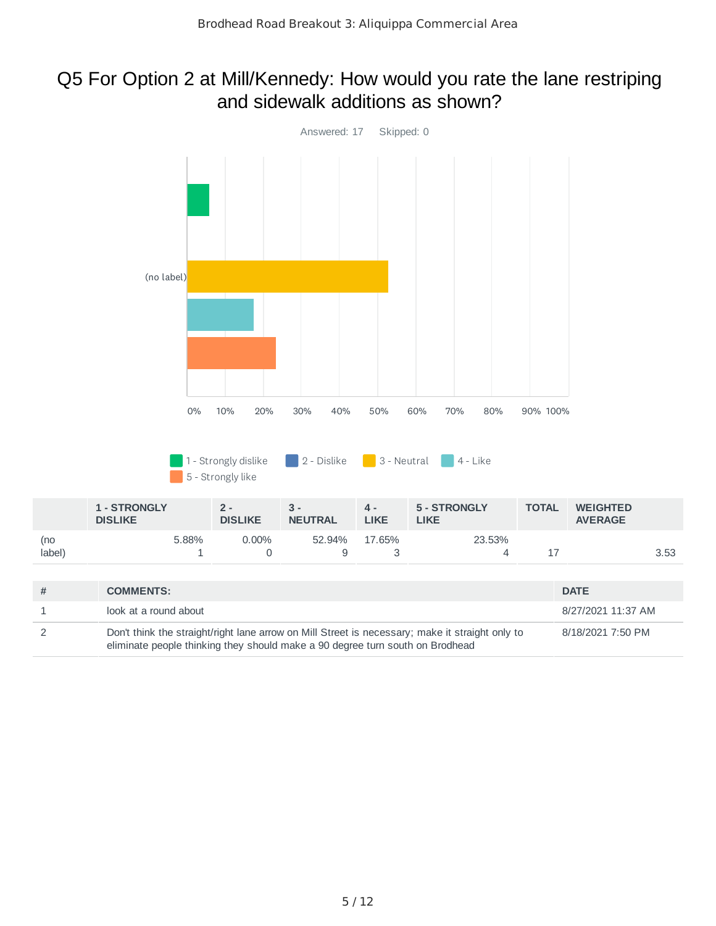#### Q5 For Option 2 at Mill/Kennedy: How would you rate the lane restriping and sidewalk additions as shown?

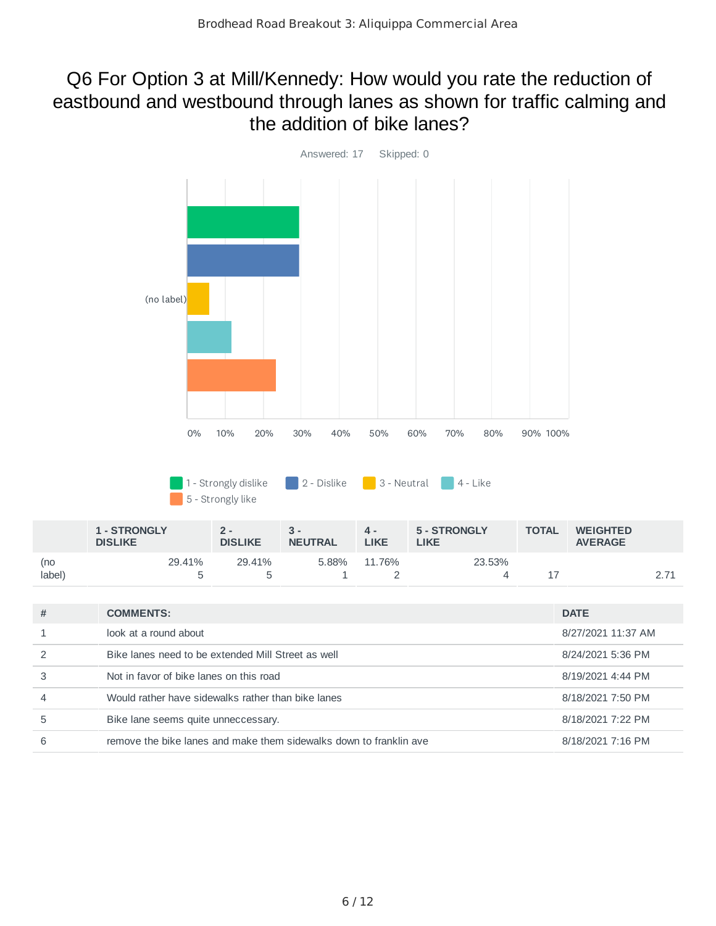#### Q6 For Option 3 at Mill/Kennedy: How would you rate the reduction of eastbound and westbound through lanes as shown for traffic calming and the addition of bike lanes?



|               | <b>1 - STRONGLY</b><br><b>DISLIKE</b> | $2 -$<br><b>DISLIKE</b> | д.<br>LIKE<br><b>NEUTRAL</b> |        | 5 - STRONGLY<br><b>LIKE</b> | <b>TOTAL</b> | <b>WEIGHTED</b><br><b>AVERAGE</b> |  |
|---------------|---------------------------------------|-------------------------|------------------------------|--------|-----------------------------|--------------|-----------------------------------|--|
| (no<br>label) | 29.41%                                | 29.41%                  | 5.88%                        | 11.76% | 23.53%                      |              |                                   |  |

| # | <b>COMMENTS:</b>                                                   | <b>DATE</b>        |
|---|--------------------------------------------------------------------|--------------------|
|   | look at a round about                                              | 8/27/2021 11:37 AM |
|   | Bike lanes need to be extended Mill Street as well                 | 8/24/2021 5:36 PM  |
| 3 | Not in favor of bike lanes on this road                            | 8/19/2021 4:44 PM  |
|   | Would rather have sidewalks rather than bike lanes                 | 8/18/2021 7:50 PM  |
| 5 | Bike lane seems quite unneccessary.                                | 8/18/2021 7:22 PM  |
| 6 | remove the bike lanes and make them sidewalks down to franklin ave | 8/18/2021 7:16 PM  |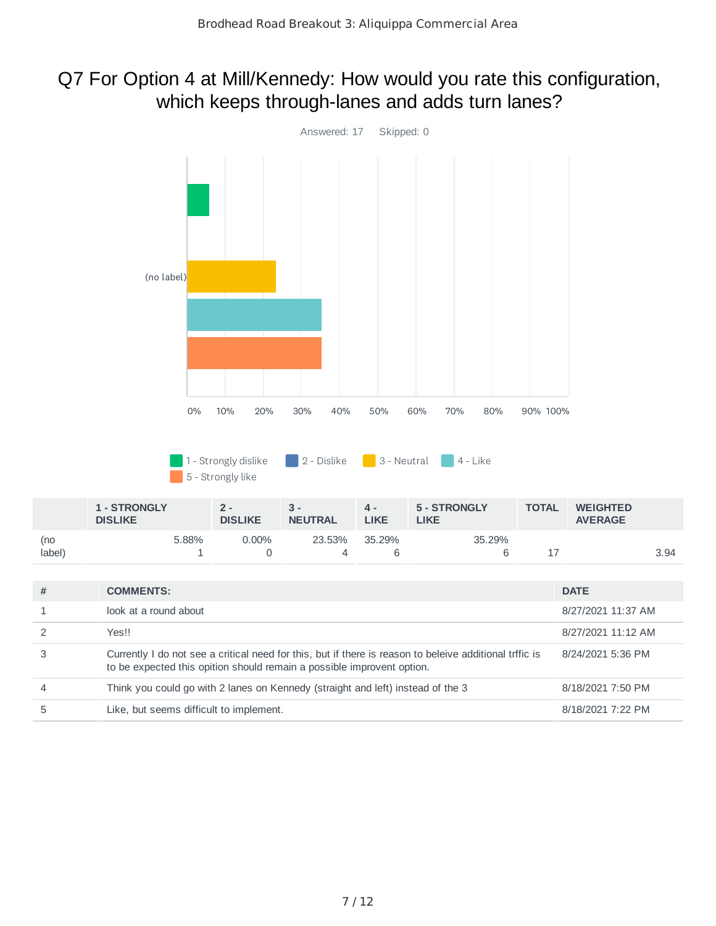#### Q7 For Option 4 at Mill/Kennedy: How would you rate this configuration, which keeps through-lanes and adds turn lanes?



5 Like, but seems difficult to implement. 8/18/2021 7:22 PM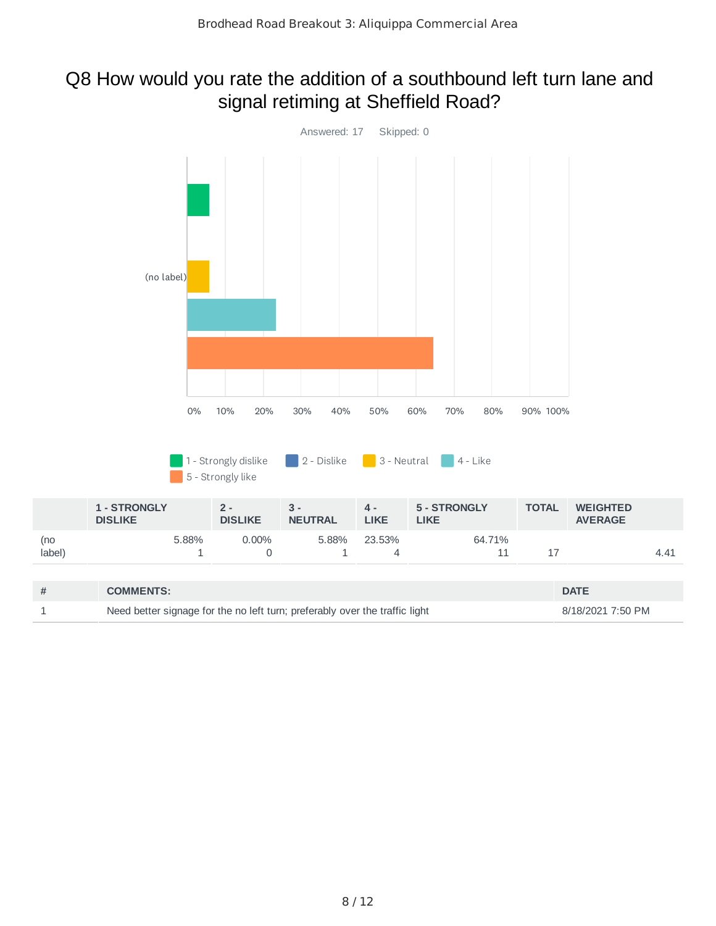#### Q8 How would you rate the addition of a southbound left turn lane and signal retiming at Sheffield Road?

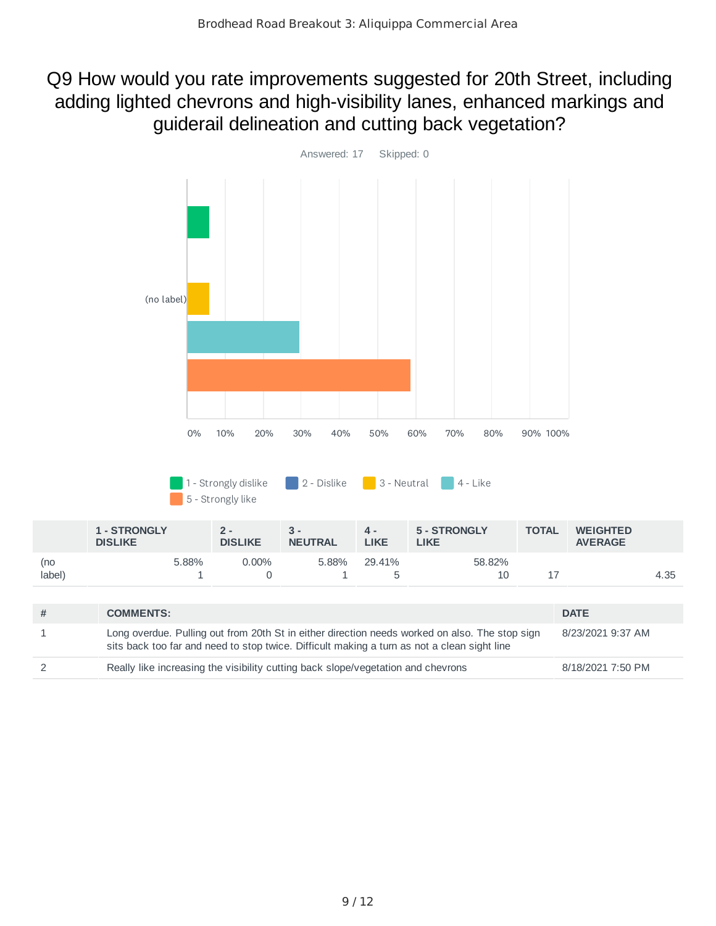#### Q9 How would you rate improvements suggested for 20th Street, including adding lighted chevrons and high-visibility lanes, enhanced markings and guiderail delineation and cutting back vegetation?



| <b>COMMENTS:</b>                                                                                                                                                                              | <b>DATE</b>       |
|-----------------------------------------------------------------------------------------------------------------------------------------------------------------------------------------------|-------------------|
| Long overdue. Pulling out from 20th St in either direction needs worked on also. The stop sign<br>sits back too far and need to stop twice. Difficult making a turn as not a clean sight line | 8/23/2021 9:37 AM |
| Really like increasing the visibility cutting back slope/vegetation and chevrons                                                                                                              | 8/18/2021 7:50 PM |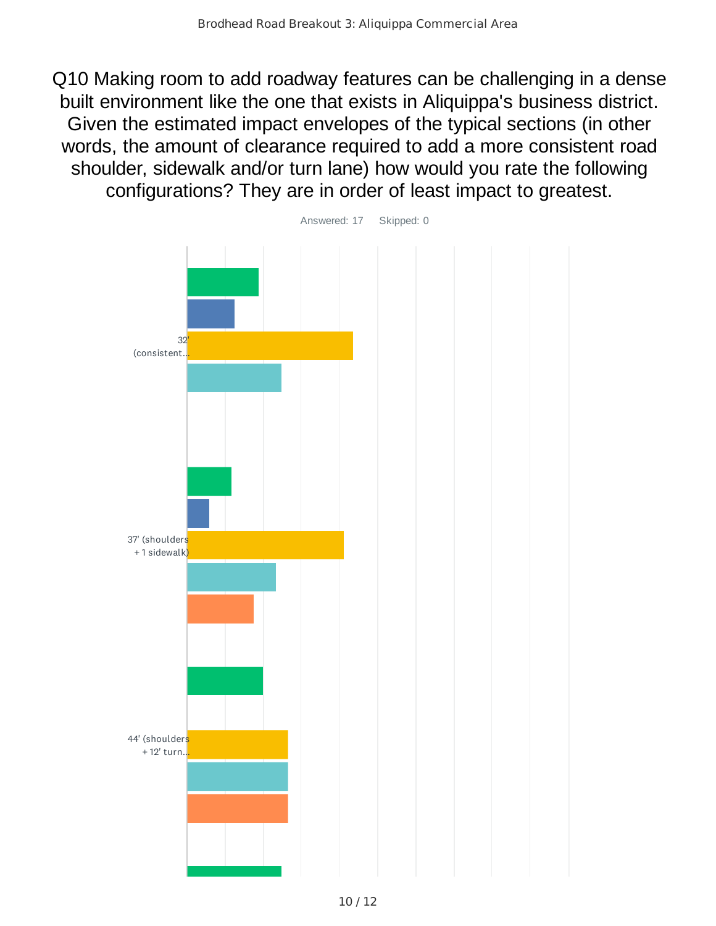Q10 Making room to add roadway features can be challenging in a dense built environment like the one that exists in Aliquippa's business district. Given the estimated impact envelopes of the typical sections (in other words, the amount of clearance required to add a more consistent road shoulder, sidewalk and/or turn lane) how would you rate the following configurations? They are in order of least impact to greatest.

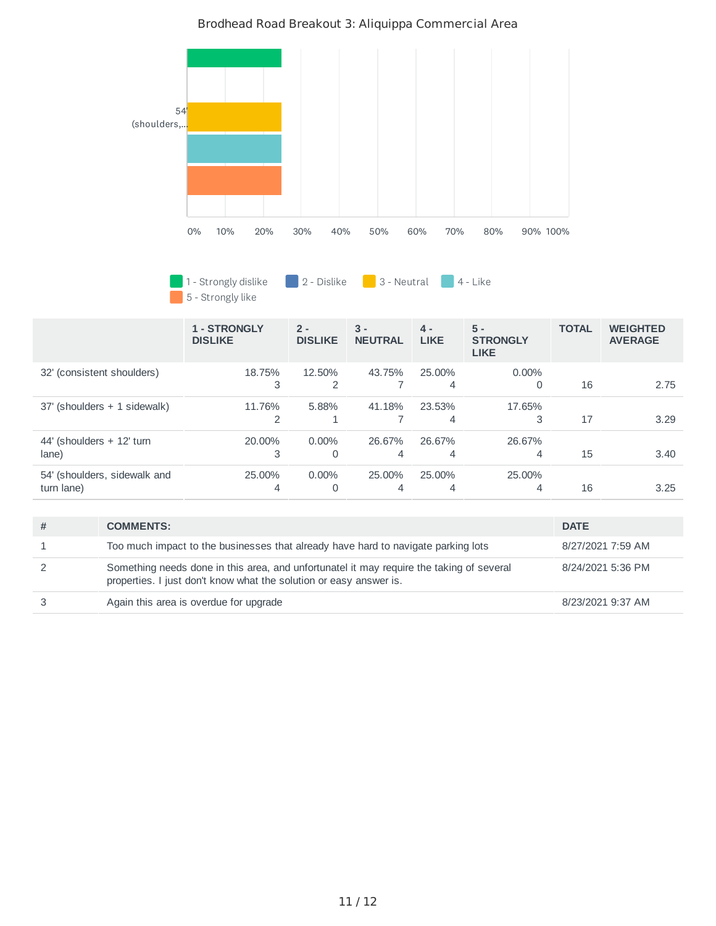

#### Brodhead Road Breakout 3: Aliquippa Commercial Area

1 - Strongly dislike  $\begin{array}{|c|c|c|c|c|}\hline 2 & - & D is \end{array}$  Dislike  $\begin{array}{|c|c|c|c|c|}\hline 3 & - & N e$ utral  $\begin{array}{|c|c|c|c|}\hline 4 & - & L ike \end{array}$ 5 - Strongly like

|                                            | 1 - STRONGLY<br><b>DISLIKE</b> | $2 -$<br><b>DISLIKE</b> | $3 -$<br><b>NEUTRAL</b> | $4 -$<br><b>LIKE</b> | $5 -$<br><b>STRONGLY</b><br><b>LIKE</b> | <b>TOTAL</b> | <b>WEIGHTED</b><br><b>AVERAGE</b> |
|--------------------------------------------|--------------------------------|-------------------------|-------------------------|----------------------|-----------------------------------------|--------------|-----------------------------------|
| 32' (consistent shoulders)                 | 18.75%<br>3                    | 12.50%<br>2             | 43.75%                  | 25.00%<br>4          | $0.00\%$<br>0                           | 16           | 2.75                              |
| 37' (shoulders + 1 sidewalk)               | 11.76%                         | 5.88%                   | 41.18%                  | 23.53%<br>4          | 17.65%<br>3                             | 17           | 3.29                              |
| 44' (shoulders + 12' turn<br>lane)         | 20.00%<br>3                    | $0.00\%$<br>0           | 26.67%<br>4             | 26.67%<br>4          | 26.67%<br>4                             | 15           | 3.40                              |
| 54' (shoulders, sidewalk and<br>turn lane) | 25.00%<br>4                    | $0.00\%$<br>0           | 25.00%<br>4             | 25.00%<br>4          | 25.00%<br>4                             | 16           | 3.25                              |

| <b>COMMENTS:</b>                                                                                                                                               | <b>DATE</b>       |
|----------------------------------------------------------------------------------------------------------------------------------------------------------------|-------------------|
| Too much impact to the businesses that already have hard to navigate parking lots                                                                              | 8/27/2021 7:59 AM |
| Something needs done in this area, and unfortunatel it may require the taking of several<br>properties. I just don't know what the solution or easy answer is. | 8/24/2021 5:36 PM |
| Again this area is overdue for upgrade                                                                                                                         | 8/23/2021 9:37 AM |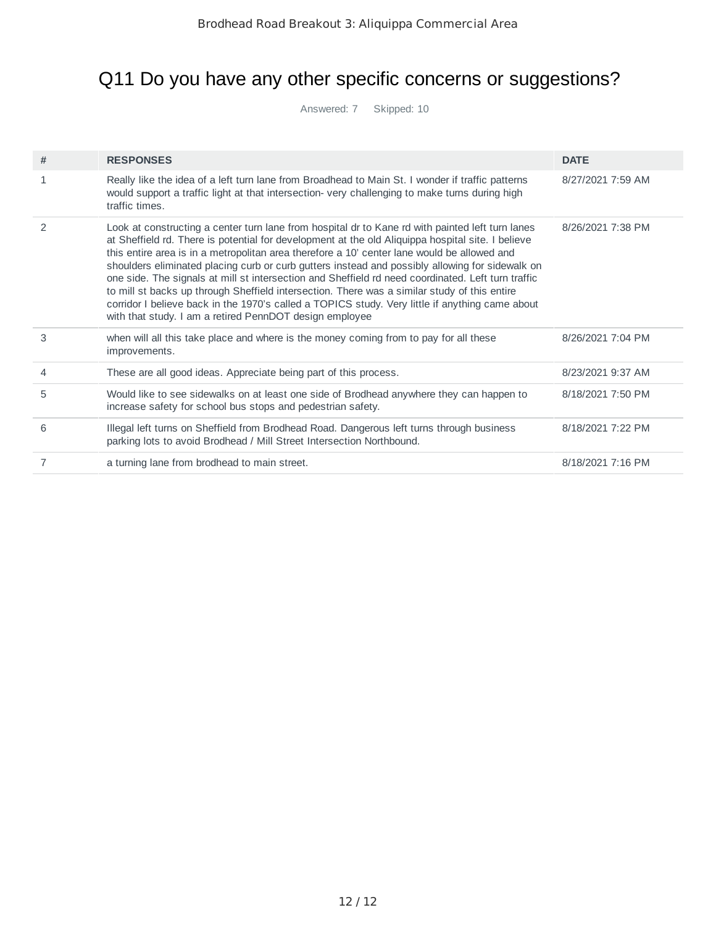## Q11 Do you have any other specific concerns or suggestions?

Answered: 7 Skipped: 10

| # | <b>RESPONSES</b>                                                                                                                                                                                                                                                                                                                                                                                                                                                                                                                                                                                                                                                                                                                                                            | <b>DATE</b>       |
|---|-----------------------------------------------------------------------------------------------------------------------------------------------------------------------------------------------------------------------------------------------------------------------------------------------------------------------------------------------------------------------------------------------------------------------------------------------------------------------------------------------------------------------------------------------------------------------------------------------------------------------------------------------------------------------------------------------------------------------------------------------------------------------------|-------------------|
|   | Really like the idea of a left turn lane from Broadhead to Main St. I wonder if traffic patterns<br>would support a traffic light at that intersection-very challenging to make turns during high<br>traffic times.                                                                                                                                                                                                                                                                                                                                                                                                                                                                                                                                                         | 8/27/2021 7:59 AM |
| 2 | Look at constructing a center turn lane from hospital dr to Kane rd with painted left turn lanes<br>at Sheffield rd. There is potential for development at the old Aliquippa hospital site. I believe<br>this entire area is in a metropolitan area therefore a 10' center lane would be allowed and<br>shoulders eliminated placing curb or curb gutters instead and possibly allowing for sidewalk on<br>one side. The signals at mill st intersection and Sheffield rd need coordinated. Left turn traffic<br>to mill st backs up through Sheffield intersection. There was a similar study of this entire<br>corridor I believe back in the 1970's called a TOPICS study. Very little if anything came about<br>with that study. I am a retired PennDOT design employee | 8/26/2021 7:38 PM |
| 3 | when will all this take place and where is the money coming from to pay for all these<br>improvements.                                                                                                                                                                                                                                                                                                                                                                                                                                                                                                                                                                                                                                                                      | 8/26/2021 7:04 PM |
| 4 | These are all good ideas. Appreciate being part of this process.                                                                                                                                                                                                                                                                                                                                                                                                                                                                                                                                                                                                                                                                                                            | 8/23/2021 9:37 AM |
| 5 | Would like to see sidewalks on at least one side of Brodhead anywhere they can happen to<br>increase safety for school bus stops and pedestrian safety.                                                                                                                                                                                                                                                                                                                                                                                                                                                                                                                                                                                                                     | 8/18/2021 7:50 PM |
| 6 | Illegal left turns on Sheffield from Brodhead Road. Dangerous left turns through business<br>parking lots to avoid Brodhead / Mill Street Intersection Northbound.                                                                                                                                                                                                                                                                                                                                                                                                                                                                                                                                                                                                          | 8/18/2021 7:22 PM |
|   | a turning lane from brodhead to main street.                                                                                                                                                                                                                                                                                                                                                                                                                                                                                                                                                                                                                                                                                                                                | 8/18/2021 7:16 PM |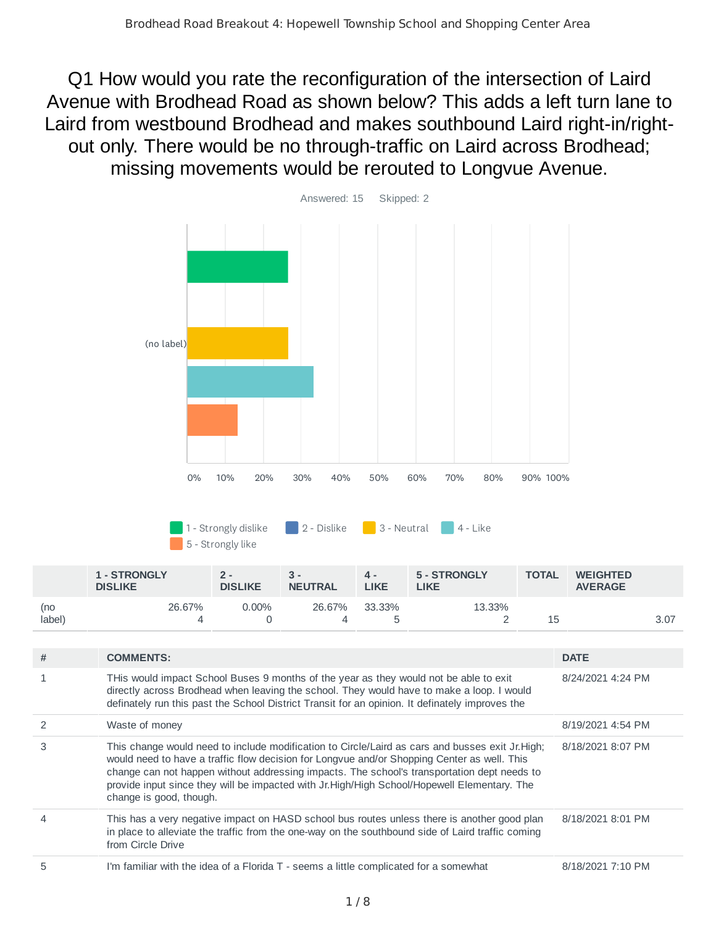Q1 How would you rate the reconfiguration of the intersection of Laird Avenue with Brodhead Road as shown below? This adds a left turn lane to Laird from westbound Brodhead and makes southbound Laird right-in/rightout only. There would be no through-traffic on Laird across Brodhead; missing movements would be rerouted to Longvue Avenue.



| 1 - Strongly dislike | $\sqrt{2}$ - Dislike | 3 - Neutral | $4$ - Like |
|----------------------|----------------------|-------------|------------|
| 5 - Strongly like    |                      |             |            |

|                | <b>1 - STRONGLY</b><br><b>DISLIKE</b> | 2 -<br><b>DISLIKE</b> | 3 -<br><b>NEUTRAL</b> | д.<br><b>LIKE</b> | 5 - STRONGLY<br><b>LIKE</b> | <b>TOTAL</b> | <b>WEIGHTED</b><br><b>AVERAGE</b> |      |
|----------------|---------------------------------------|-----------------------|-----------------------|-------------------|-----------------------------|--------------|-----------------------------------|------|
| (no<br>(label) | 26.67%                                | 0.00%                 | 26.67%                | 33.33%            | 13.33%                      | 15           |                                   | 3.07 |

| # | <b>COMMENTS:</b>                                                                                                                                                                                                                                                                                                                                                                                                         | <b>DATE</b>       |
|---|--------------------------------------------------------------------------------------------------------------------------------------------------------------------------------------------------------------------------------------------------------------------------------------------------------------------------------------------------------------------------------------------------------------------------|-------------------|
|   | THis would impact School Buses 9 months of the year as they would not be able to exit<br>directly across Brodhead when leaving the school. They would have to make a loop. I would<br>definately run this past the School District Transit for an opinion. It definately improves the                                                                                                                                    | 8/24/2021 4:24 PM |
|   | Waste of money                                                                                                                                                                                                                                                                                                                                                                                                           | 8/19/2021 4:54 PM |
| 3 | This change would need to include modification to Circle/Laird as cars and busses exit Jr. High;<br>would need to have a traffic flow decision for Longvue and/or Shopping Center as well. This<br>change can not happen without addressing impacts. The school's transportation dept needs to<br>provide input since they will be impacted with Jr.High/High School/Hopewell Elementary. The<br>change is good, though. | 8/18/2021 8:07 PM |
|   | This has a very negative impact on HASD school bus routes unless there is another good plan<br>in place to alleviate the traffic from the one-way on the southbound side of Laird traffic coming<br>from Circle Drive                                                                                                                                                                                                    | 8/18/2021 8:01 PM |
| 5 | I'm familiar with the idea of a Florida T - seems a little complicated for a somewhat                                                                                                                                                                                                                                                                                                                                    | 8/18/2021 7:10 PM |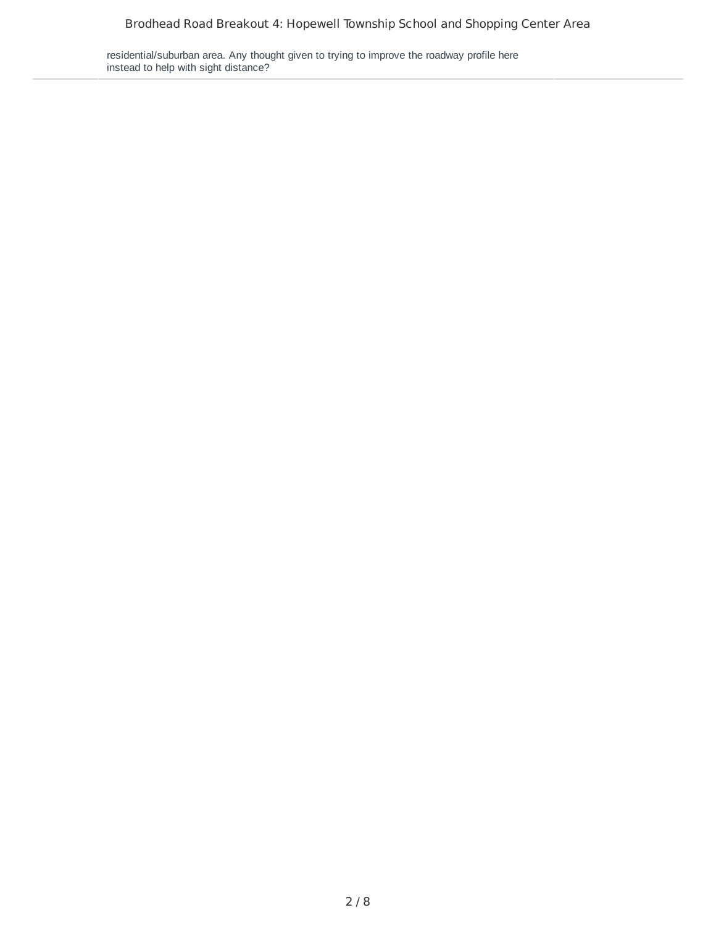residential/suburban area. Any thought given to trying to improve the roadway profile here instead to help with sight distance?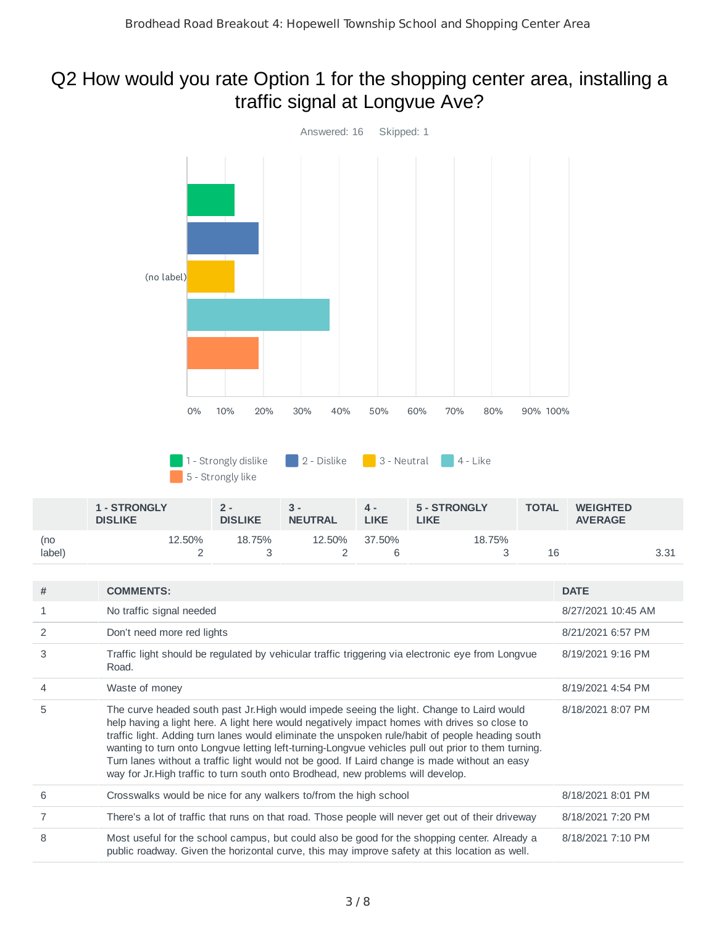#### Q2 How would you rate Option 1 for the shopping center area, installing a traffic signal at Longvue Ave?



| 5 | The curve headed south past Jr. High would impede seeing the light. Change to Laird would          |
|---|----------------------------------------------------------------------------------------------------|
|   | help having a light here. A light here would negatively impact homes with drives so close to       |
|   | traffic light. Adding turn lanes would eliminate the unspoken rule/habit of people heading south   |
|   | wanting to turn onto Longvue letting left-turning-Longvue vehicles pull out prior to them turning. |
|   | Turn lanes without a traffic light would not be good. If Laird change is made without an easy      |
|   | way for Jr. High traffic to turn south onto Brodhead, new problems will develop.                   |
|   |                                                                                                    |

| Crosswalks would be nice for any walkers to/from the high school                                                                                                                              | 8/18/2021 8:01 PM |
|-----------------------------------------------------------------------------------------------------------------------------------------------------------------------------------------------|-------------------|
| There's a lot of traffic that runs on that road. Those people will never get out of their driveway                                                                                            | 8/18/2021 7:20 PM |
| Most useful for the school campus, but could also be good for the shopping center. Already a<br>public roadway. Given the horizontal curve, this may improve safety at this location as well. | 8/18/2021 7:10 PM |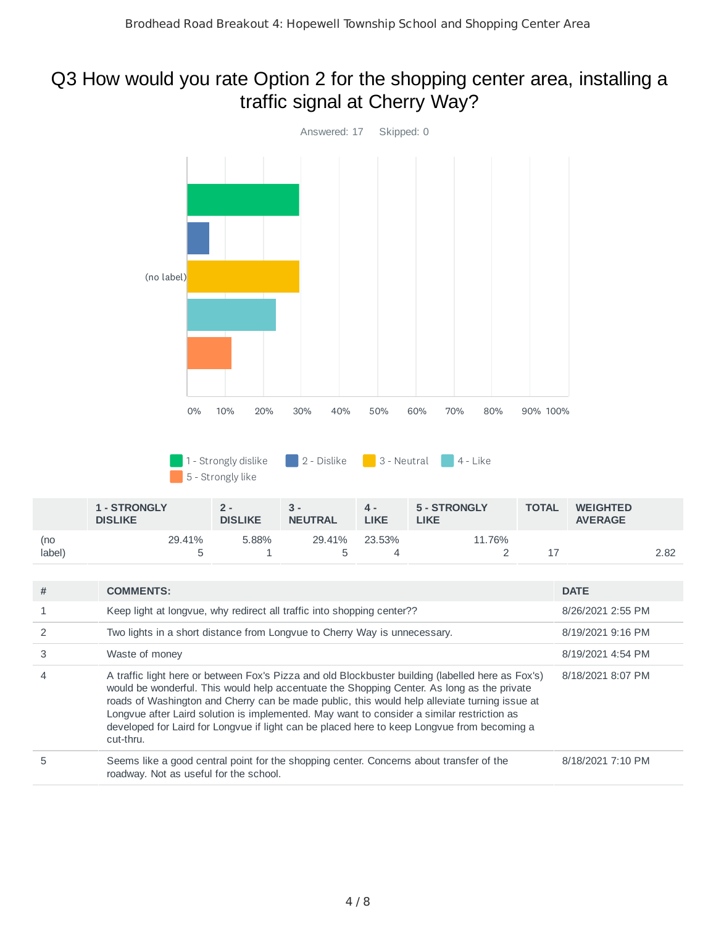#### Q3 How would you rate Option 2 for the shopping center area, installing a traffic signal at Cherry Way?



| 3              | Waste of money                                                                                                                                                                                                                                                                                                                                                                                                                                                                                             | 8/19/2021 4:54 PM |
|----------------|------------------------------------------------------------------------------------------------------------------------------------------------------------------------------------------------------------------------------------------------------------------------------------------------------------------------------------------------------------------------------------------------------------------------------------------------------------------------------------------------------------|-------------------|
| $\overline{4}$ | A traffic light here or between Fox's Pizza and old Blockbuster building (labelled here as Fox's)<br>would be wonderful. This would help accentuate the Shopping Center. As long as the private<br>roads of Washington and Cherry can be made public, this would help alleviate turning issue at<br>Longvue after Laird solution is implemented. May want to consider a similar restriction as<br>developed for Laird for Longvue if light can be placed here to keep Longvue from becoming a<br>cut-thru. | 8/18/2021 8:07 PM |
| 5              | Seems like a good central point for the shopping center. Concerns about transfer of the<br>roadway. Not as useful for the school.                                                                                                                                                                                                                                                                                                                                                                          | 8/18/2021 7:10 PM |

(no label)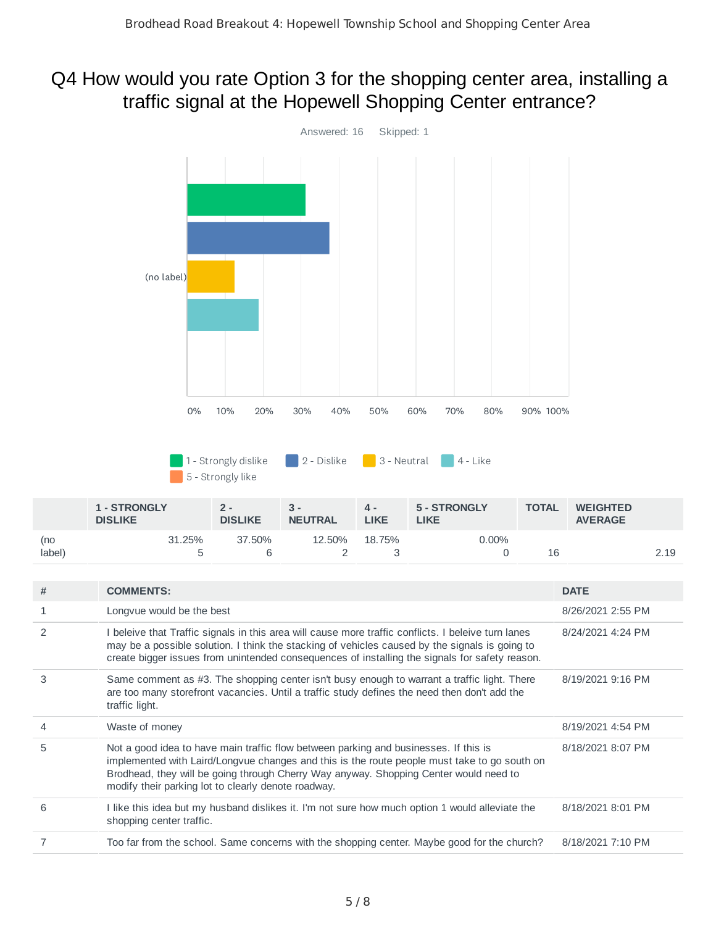#### Q4 How would you rate Option 3 for the shopping center area, installing a traffic signal at the Hopewell Shopping Center entrance?



|               | <b>1 - STRONGLY</b><br><b>DISLIKE</b> | 2 -<br><b>DISLIKE</b> | <b>NEUTRAL</b> | д.<br><b>LIKE</b> | 5 - STRONGLY<br><b>LIKE</b> | <b>TOTAL</b> | <b>WEIGHTED</b><br><b>AVERAGE</b> |      |
|---------------|---------------------------------------|-----------------------|----------------|-------------------|-----------------------------|--------------|-----------------------------------|------|
| (no<br>label) | 31.25%                                | 37.50%                | 12.50%         | 18.75%            | 0.00%                       | 16           |                                   | 2.19 |

| # | <b>COMMENTS:</b>                                                                                                                                                                                                                                                                                                                     | <b>DATE</b>       |
|---|--------------------------------------------------------------------------------------------------------------------------------------------------------------------------------------------------------------------------------------------------------------------------------------------------------------------------------------|-------------------|
| 1 | Longvue would be the best                                                                                                                                                                                                                                                                                                            | 8/26/2021 2:55 PM |
| 2 | I beleive that Traffic signals in this area will cause more traffic conflicts. I beleive turn lanes<br>may be a possible solution. I think the stacking of vehicles caused by the signals is going to<br>create bigger issues from unintended consequences of installing the signals for safety reason.                              | 8/24/2021 4:24 PM |
| 3 | Same comment as #3. The shopping center isn't busy enough to warrant a traffic light. There<br>are too many storefront vacancies. Until a traffic study defines the need then don't add the<br>traffic light.                                                                                                                        | 8/19/2021 9:16 PM |
| 4 | Waste of money                                                                                                                                                                                                                                                                                                                       | 8/19/2021 4:54 PM |
| 5 | Not a good idea to have main traffic flow between parking and businesses. If this is<br>implemented with Laird/Longvue changes and this is the route people must take to go south on<br>Brodhead, they will be going through Cherry Way anyway. Shopping Center would need to<br>modify their parking lot to clearly denote roadway. | 8/18/2021 8:07 PM |
| 6 | I like this idea but my husband dislikes it. I'm not sure how much option 1 would alleviate the<br>shopping center traffic.                                                                                                                                                                                                          | 8/18/2021 8:01 PM |
|   | Too far from the school. Same concerns with the shopping center. Maybe good for the church?                                                                                                                                                                                                                                          | 8/18/2021 7:10 PM |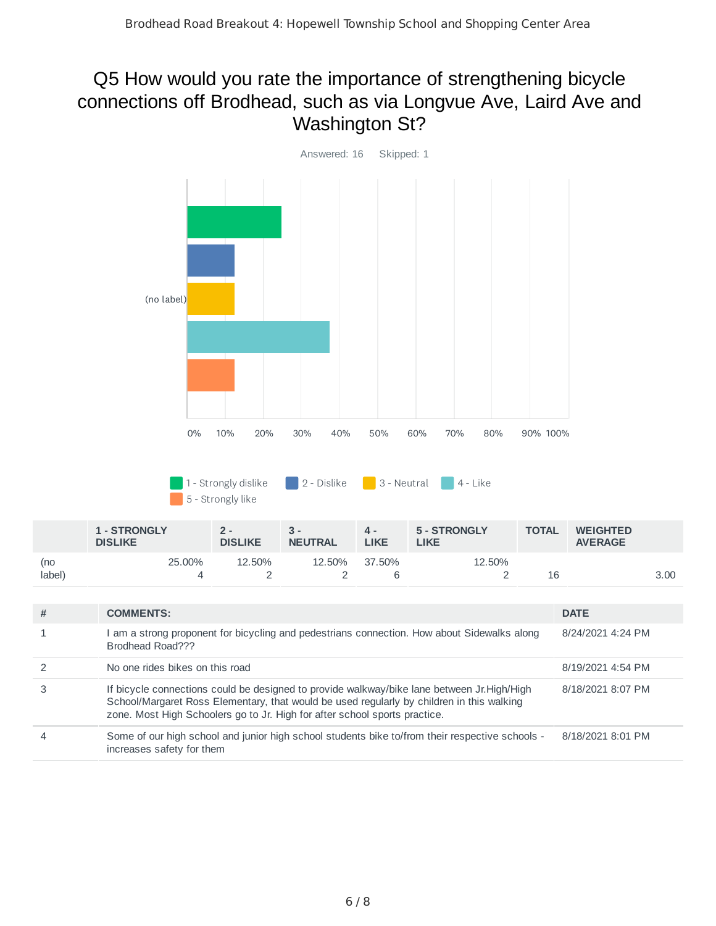#### Q5 How would you rate the importance of strengthening bicycle connections off Brodhead, such as via Longvue Ave, Laird Ave and Washington St?



|        | <b>1 - STRONGLY</b><br><b>DISLIKE</b> | 2 -<br><b>DISLIKE</b> | <b>NEUTRAL</b> | 4 -<br>LIKE | 5 - STRONGLY<br>LIKE | <b>TOTAL</b> | <b>WEIGHTED</b><br><b>AVERAGE</b> |      |
|--------|---------------------------------------|-----------------------|----------------|-------------|----------------------|--------------|-----------------------------------|------|
| (no    | 25,00%                                | 12.50%                | 12.50%         | 37.50%      | 12.50%               |              |                                   |      |
| label) |                                       |                       |                |             |                      |              |                                   | 3.00 |

| # | <b>COMMENTS:</b>                                                                                                                                                                                                                                                       | <b>DATE</b>       |
|---|------------------------------------------------------------------------------------------------------------------------------------------------------------------------------------------------------------------------------------------------------------------------|-------------------|
|   | am a strong proponent for bicycling and pedestrians connection. How about Sidewalks along<br>Brodhead Road???                                                                                                                                                          | 8/24/2021 4:24 PM |
|   | No one rides bikes on this road                                                                                                                                                                                                                                        | 8/19/2021 4:54 PM |
|   | If bicycle connections could be designed to provide walkway/bike lane between Jr. High/High<br>School/Margaret Ross Elementary, that would be used regularly by children in this walking<br>zone. Most High Schoolers go to Jr. High for after school sports practice. | 8/18/2021 8:07 PM |
|   | Some of our high school and junior high school students bike to/from their respective schools -<br>increases safety for them                                                                                                                                           | 8/18/2021 8:01 PM |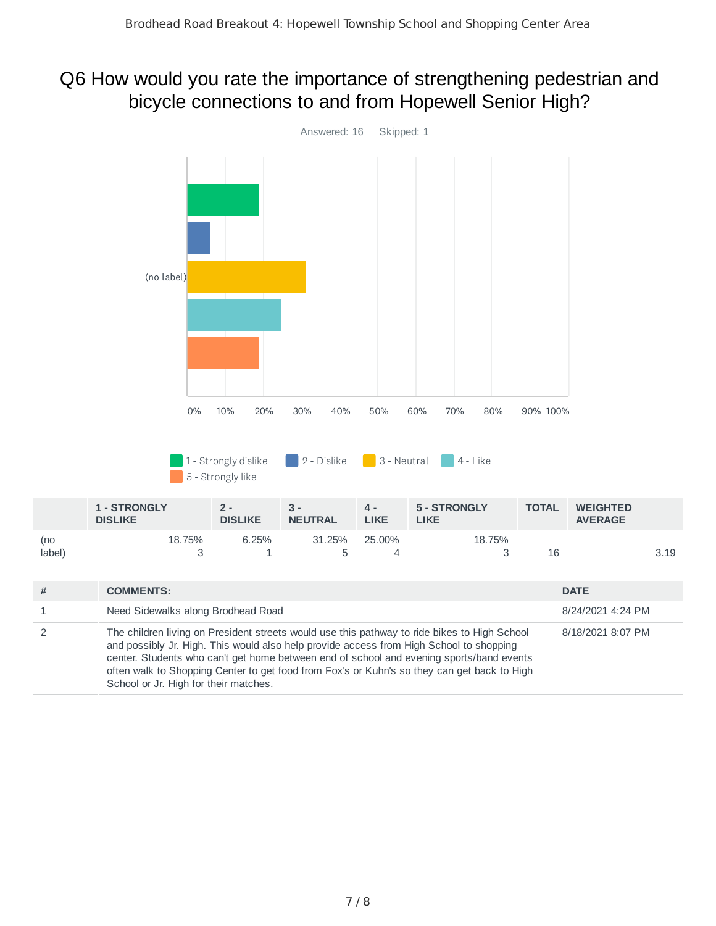#### Q6 How would you rate the importance of strengthening pedestrian and bicycle connections to and from Hopewell Senior High?

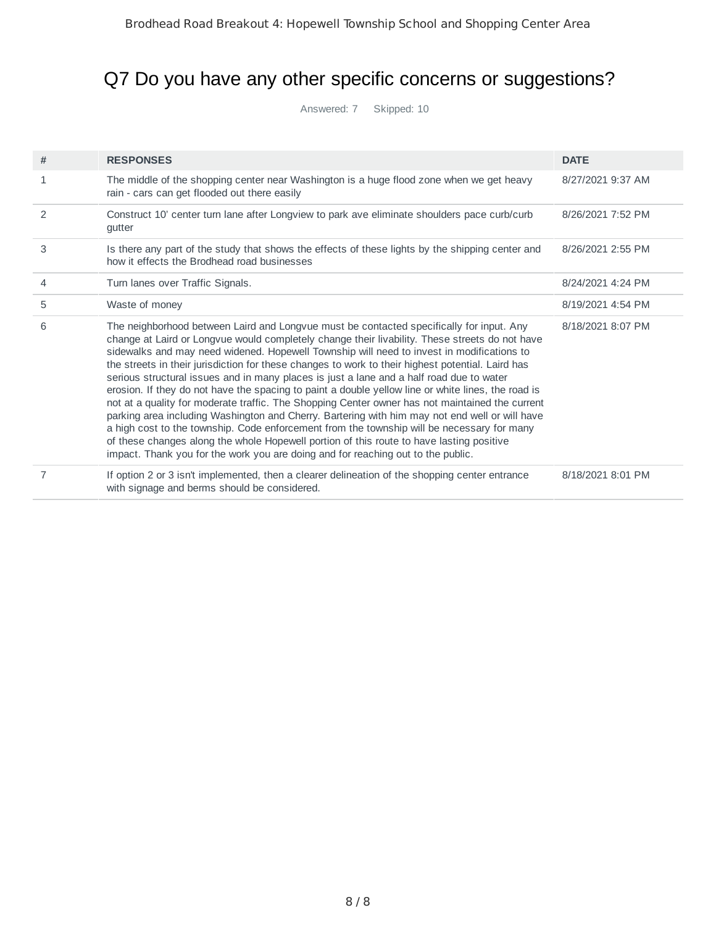## Q7 Do you have any other specific concerns or suggestions?

Answered: 7 Skipped: 10

| #            | <b>RESPONSES</b>                                                                                                                                                                                                                                                                                                                                                                                                                                                                                                                                                                                                                                                                                                                                                                                                                                                                                                                                                                                                                                                                  | <b>DATE</b>       |
|--------------|-----------------------------------------------------------------------------------------------------------------------------------------------------------------------------------------------------------------------------------------------------------------------------------------------------------------------------------------------------------------------------------------------------------------------------------------------------------------------------------------------------------------------------------------------------------------------------------------------------------------------------------------------------------------------------------------------------------------------------------------------------------------------------------------------------------------------------------------------------------------------------------------------------------------------------------------------------------------------------------------------------------------------------------------------------------------------------------|-------------------|
| $\mathbf{1}$ | The middle of the shopping center near Washington is a huge flood zone when we get heavy<br>rain - cars can get flooded out there easily                                                                                                                                                                                                                                                                                                                                                                                                                                                                                                                                                                                                                                                                                                                                                                                                                                                                                                                                          | 8/27/2021 9:37 AM |
| 2            | Construct 10' center turn lane after Longview to park ave eliminate shoulders pace curb/curb<br>gutter                                                                                                                                                                                                                                                                                                                                                                                                                                                                                                                                                                                                                                                                                                                                                                                                                                                                                                                                                                            | 8/26/2021 7:52 PM |
| 3            | Is there any part of the study that shows the effects of these lights by the shipping center and<br>how it effects the Brodhead road businesses                                                                                                                                                                                                                                                                                                                                                                                                                                                                                                                                                                                                                                                                                                                                                                                                                                                                                                                                   | 8/26/2021 2:55 PM |
| 4            | Turn lanes over Traffic Signals.                                                                                                                                                                                                                                                                                                                                                                                                                                                                                                                                                                                                                                                                                                                                                                                                                                                                                                                                                                                                                                                  | 8/24/2021 4:24 PM |
| 5            | Waste of money                                                                                                                                                                                                                                                                                                                                                                                                                                                                                                                                                                                                                                                                                                                                                                                                                                                                                                                                                                                                                                                                    | 8/19/2021 4:54 PM |
| 6            | The neighborhood between Laird and Longvue must be contacted specifically for input. Any<br>change at Laird or Longvue would completely change their livability. These streets do not have<br>sidewalks and may need widened. Hopewell Township will need to invest in modifications to<br>the streets in their jurisdiction for these changes to work to their highest potential. Laird has<br>serious structural issues and in many places is just a lane and a half road due to water<br>erosion. If they do not have the spacing to paint a double yellow line or white lines, the road is<br>not at a quality for moderate traffic. The Shopping Center owner has not maintained the current<br>parking area including Washington and Cherry. Bartering with him may not end well or will have<br>a high cost to the township. Code enforcement from the township will be necessary for many<br>of these changes along the whole Hopewell portion of this route to have lasting positive<br>impact. Thank you for the work you are doing and for reaching out to the public. | 8/18/2021 8:07 PM |
| 7            | If option 2 or 3 isn't implemented, then a clearer delineation of the shopping center entrance<br>with signage and berms should be considered.                                                                                                                                                                                                                                                                                                                                                                                                                                                                                                                                                                                                                                                                                                                                                                                                                                                                                                                                    | 8/18/2021 8:01 PM |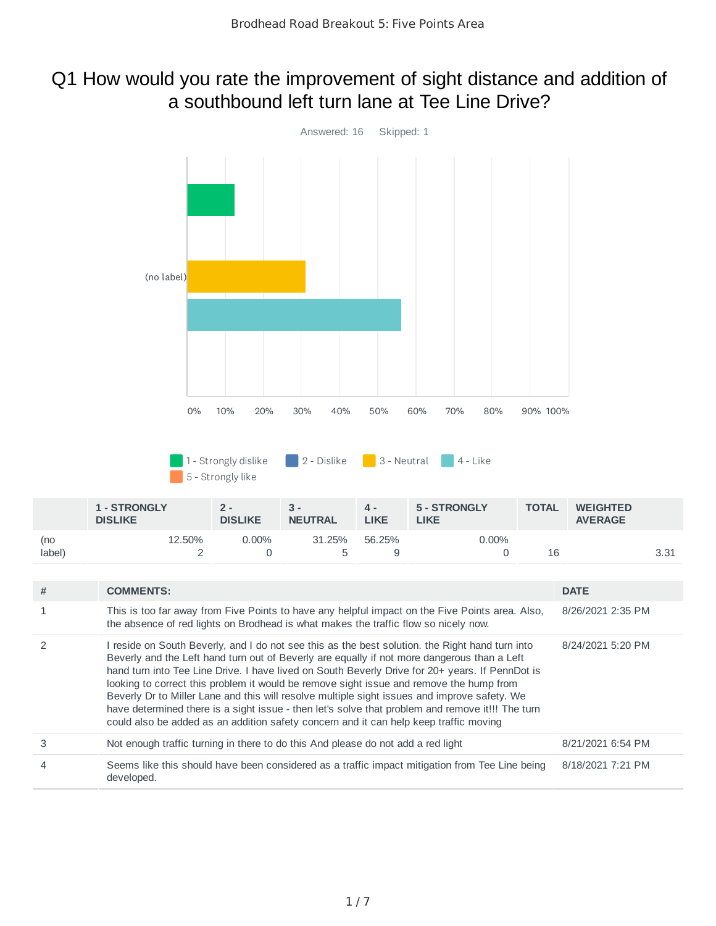#### Q1 How would you rate the improvement of sight distance and addition of a southbound left turn lane at Tee Line Drive?

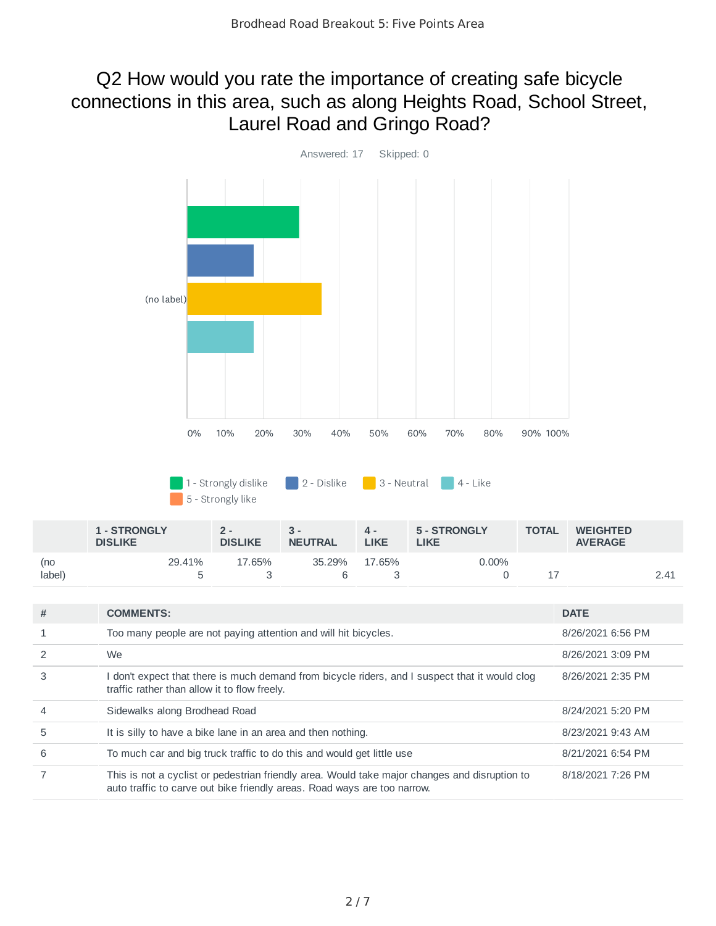#### Q2 How would you rate the importance of creating safe bicycle connections in this area, such as along Heights Road, School Street, Laurel Road and Gringo Road?



|                | <b>1 - STRONGLY</b><br><b>DISLIKE</b> | $2 -$<br><b>DISLIKE</b> | $3 -$<br><b>NEUTRAL</b> | 4 -<br>LIKE | 5 - STRONGLY<br>.IKE | <b>TOTAL</b> | <b>WEIGHTED</b><br><b>AVERAGE</b> |      |
|----------------|---------------------------------------|-------------------------|-------------------------|-------------|----------------------|--------------|-----------------------------------|------|
| (no<br>(label) | 29.41%                                | 17.65%                  | 35.29%                  | 17.65%      | 0.00%                |              |                                   | 2.41 |

| # | <b>COMMENTS:</b>                                                                                                                                                          | <b>DATE</b>       |
|---|---------------------------------------------------------------------------------------------------------------------------------------------------------------------------|-------------------|
|   | Too many people are not paying attention and will hit bicycles.                                                                                                           | 8/26/2021 6:56 PM |
|   | We                                                                                                                                                                        | 8/26/2021 3:09 PM |
| 3 | don't expect that there is much demand from bicycle riders, and I suspect that it would clog<br>traffic rather than allow it to flow freely.                              | 8/26/2021 2:35 PM |
|   | Sidewalks along Brodhead Road                                                                                                                                             | 8/24/2021 5:20 PM |
| 5 | It is silly to have a bike lane in an area and then nothing.                                                                                                              | 8/23/2021 9:43 AM |
| 6 | To much car and big truck traffic to do this and would get little use                                                                                                     | 8/21/2021 6:54 PM |
|   | This is not a cyclist or pedestrian friendly area. Would take major changes and disruption to<br>auto traffic to carve out bike friendly areas. Road ways are too narrow. | 8/18/2021 7:26 PM |
|   |                                                                                                                                                                           |                   |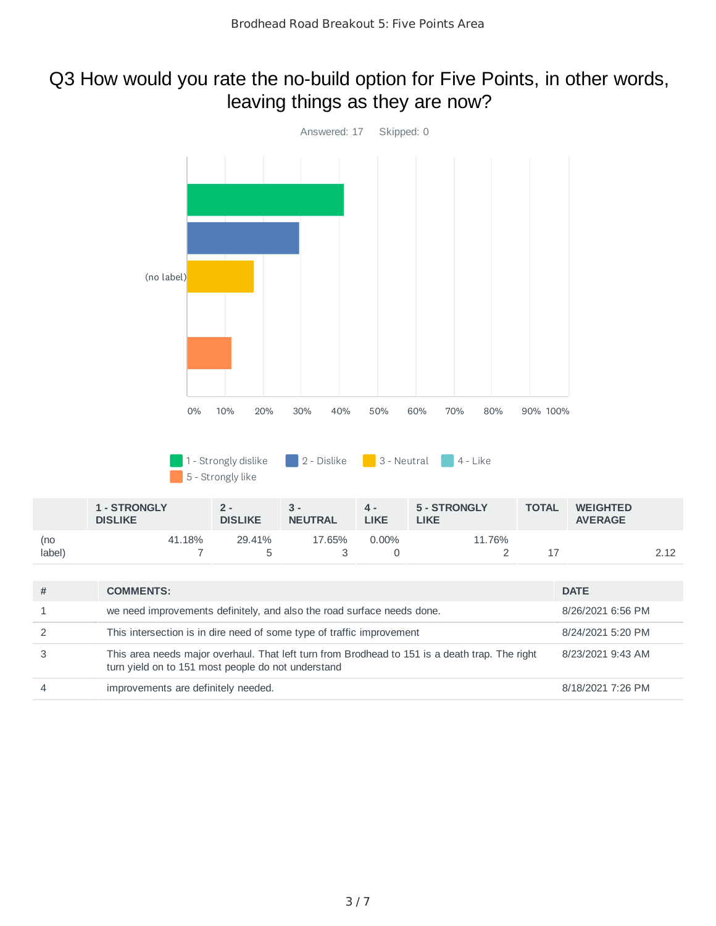#### Q3 How would you rate the no-build option for Five Points, in other words, leaving things as they are now?

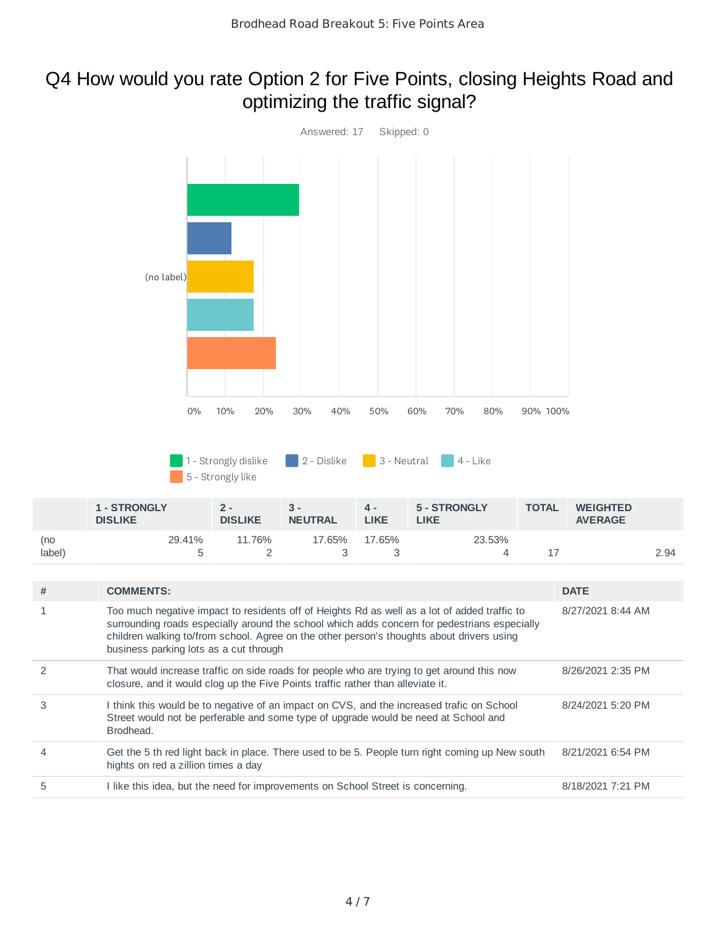#### Q4 How would you rate Option 2 for Five Points, closing Heights Road and optimizing the traffic signal?



| # | <b>COMMENTS:</b>                                                                                                                                                                                                                                                                                                                    | <b>DATE</b>       |
|---|-------------------------------------------------------------------------------------------------------------------------------------------------------------------------------------------------------------------------------------------------------------------------------------------------------------------------------------|-------------------|
|   | Too much negative impact to residents off of Heights Rd as well as a lot of added traffic to<br>surrounding roads especially around the school which adds concern for pedestrians especially<br>children walking to/from school. Agree on the other person's thoughts about drivers using<br>business parking lots as a cut through | 8/27/2021 8:44 AM |
|   | That would increase traffic on side roads for people who are trying to get around this now<br>closure, and it would clog up the Five Points traffic rather than alleviate it.                                                                                                                                                       | 8/26/2021 2:35 PM |
| 3 | I think this would be to negative of an impact on CVS, and the increased trafic on School<br>Street would not be perferable and some type of upgrade would be need at School and<br>Brodhead.                                                                                                                                       | 8/24/2021 5:20 PM |
|   | Get the 5 th red light back in place. There used to be 5. People turn right coming up New south<br>hights on red a zillion times a day                                                                                                                                                                                              | 8/21/2021 6:54 PM |
| 5 | I like this idea, but the need for improvements on School Street is concerning.                                                                                                                                                                                                                                                     | 8/18/2021 7:21 PM |

3

3

4 17 2.94

5

(no label)

2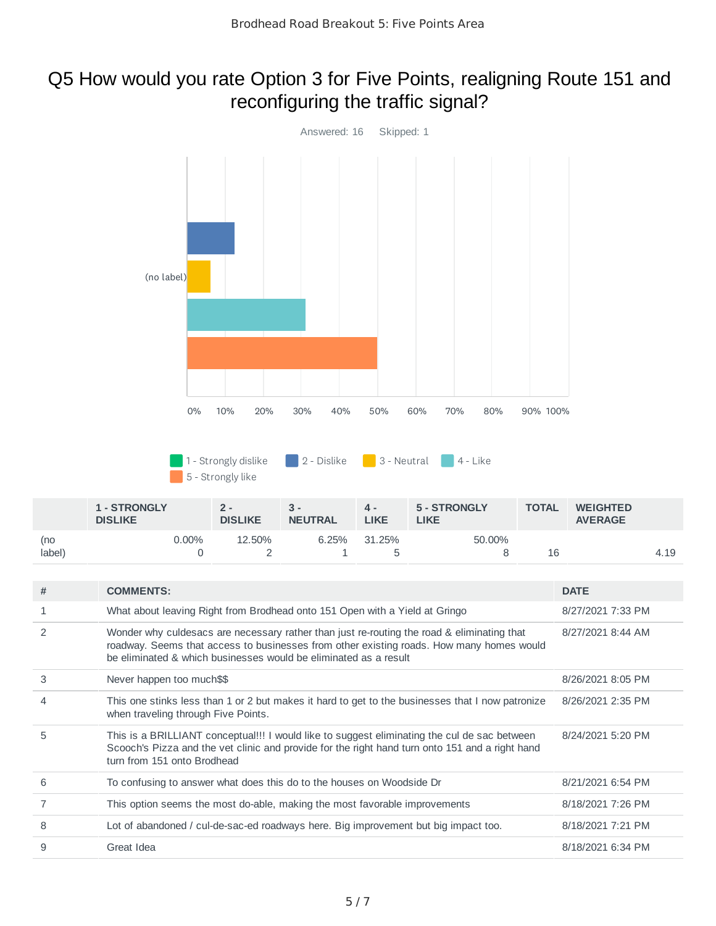#### Q5 How would you rate Option 3 for Five Points, realigning Route 151 and reconfiguring the traffic signal?



|               | <b>1 - STRONGLY</b><br><b>DISLIKE</b> | <b>DISLIKE</b> | $3 -$<br><b>NEUTRAL</b> | 4 -<br><b>LIKE</b> | 5 - STRONGLY<br><b>LIKE</b> | <b>TOTAL</b> | <b>WEIGHTED</b><br><b>AVERAGE</b> |  |
|---------------|---------------------------------------|----------------|-------------------------|--------------------|-----------------------------|--------------|-----------------------------------|--|
| (no<br>label) | $0.00\%$                              | 12.50%         | 6.25%                   | 31.25%             | 50.00%                      | 16           | 4.19                              |  |

| #             | <b>COMMENTS:</b>                                                                                                                                                                                                                                           | <b>DATE</b>       |
|---------------|------------------------------------------------------------------------------------------------------------------------------------------------------------------------------------------------------------------------------------------------------------|-------------------|
| 1             | What about leaving Right from Brodhead onto 151 Open with a Yield at Gringo                                                                                                                                                                                | 8/27/2021 7:33 PM |
| $\mathcal{P}$ | Wonder why culdesacs are necessary rather than just re-routing the road & eliminating that<br>roadway. Seems that access to businesses from other existing roads. How many homes would<br>be eliminated & which businesses would be eliminated as a result | 8/27/2021 8:44 AM |
| 3             | Never happen too much\$\$                                                                                                                                                                                                                                  | 8/26/2021 8:05 PM |
| 4             | This one stinks less than 1 or 2 but makes it hard to get to the businesses that I now patronize<br>when traveling through Five Points.                                                                                                                    | 8/26/2021 2:35 PM |
| 5             | This is a BRILLIANT conceptual!!! I would like to suggest eliminating the cul de sac between<br>Scooch's Pizza and the vet clinic and provide for the right hand turn onto 151 and a right hand<br>turn from 151 onto Brodhead                             | 8/24/2021 5:20 PM |
| 6             | To confusing to answer what does this do to the houses on Woodside Dr                                                                                                                                                                                      | 8/21/2021 6:54 PM |
|               | This option seems the most do-able, making the most favorable improvements                                                                                                                                                                                 | 8/18/2021 7:26 PM |
| 8             | Lot of abandoned / cul-de-sac-ed roadways here. Big improvement but big impact too.                                                                                                                                                                        | 8/18/2021 7:21 PM |
| 9             | Great Idea                                                                                                                                                                                                                                                 | 8/18/2021 6:34 PM |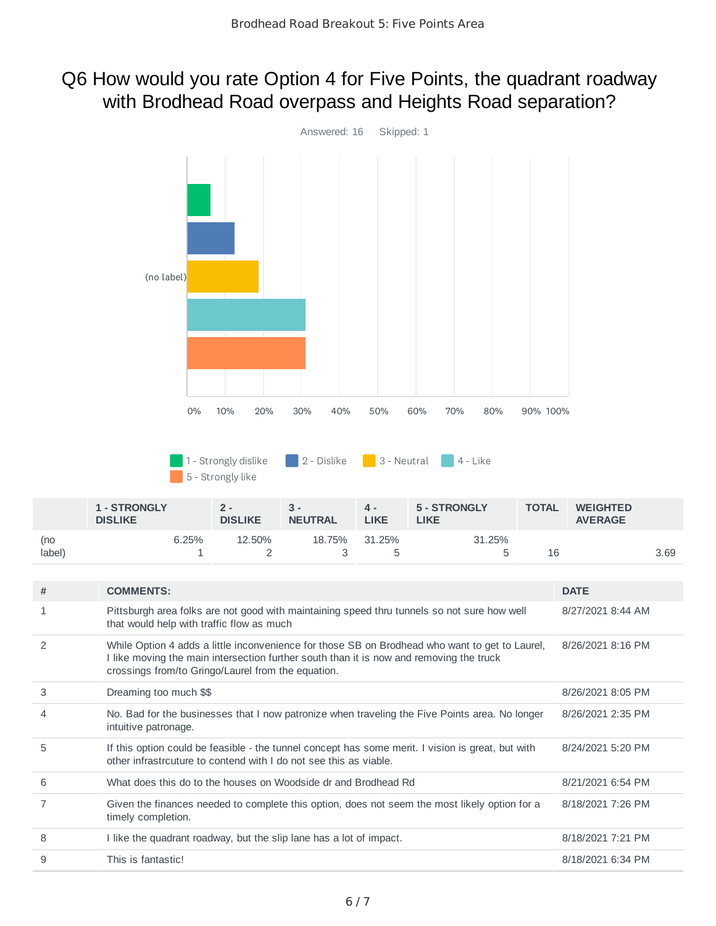#### Q6 How would you rate Option 4 for Five Points, the quadrant roadway with Brodhead Road overpass and Heights Road separation?



|                           | <b>1 - STRONGLY</b><br><b>DISLIKE</b> | $2 -$<br><b>DISLIKE</b> | 3 -<br><b>NEUTRAL</b> | 4 -<br><b>LIKE</b> | 5 - STRONGLY<br>LIKE | <b>TOTAL</b> | <b>WEIGHTED</b><br><b>AVERAGE</b> |      |
|---------------------------|---------------------------------------|-------------------------|-----------------------|--------------------|----------------------|--------------|-----------------------------------|------|
| (no<br>label <sup>\</sup> | 6.25%                                 | 12.50%                  | 18.75%                | 31.25%             | 31.25%               | 16           |                                   | 3.69 |

| # | <b>COMMENTS:</b>                                                                                                                                                                                                                                | <b>DATE</b>       |
|---|-------------------------------------------------------------------------------------------------------------------------------------------------------------------------------------------------------------------------------------------------|-------------------|
| 1 | Pittsburgh area folks are not good with maintaining speed thru tunnels so not sure how well<br>that would help with traffic flow as much                                                                                                        | 8/27/2021 8:44 AM |
| 2 | While Option 4 adds a little inconvenience for those SB on Brodhead who want to get to Laurel,<br>I like moving the main intersection further south than it is now and removing the truck<br>crossings from/to Gringo/Laurel from the equation. | 8/26/2021 8:16 PM |
| 3 | Dreaming too much \$\$                                                                                                                                                                                                                          | 8/26/2021 8:05 PM |
| 4 | No. Bad for the businesses that I now patronize when traveling the Five Points area. No longer<br>intuitive patronage.                                                                                                                          | 8/26/2021 2:35 PM |
| 5 | If this option could be feasible - the tunnel concept has some merit. I vision is great, but with<br>other infrastrouture to contend with I do not see this as viable.                                                                          | 8/24/2021 5:20 PM |
| 6 | What does this do to the houses on Woodside dr and Brodhead Rd                                                                                                                                                                                  | 8/21/2021 6:54 PM |
|   | Given the finances needed to complete this option, does not seem the most likely option for a<br>timely completion.                                                                                                                             | 8/18/2021 7:26 PM |
| 8 | I like the quadrant roadway, but the slip lane has a lot of impact.                                                                                                                                                                             | 8/18/2021 7:21 PM |
| 9 | This is fantastic!                                                                                                                                                                                                                              | 8/18/2021 6:34 PM |
|   |                                                                                                                                                                                                                                                 |                   |